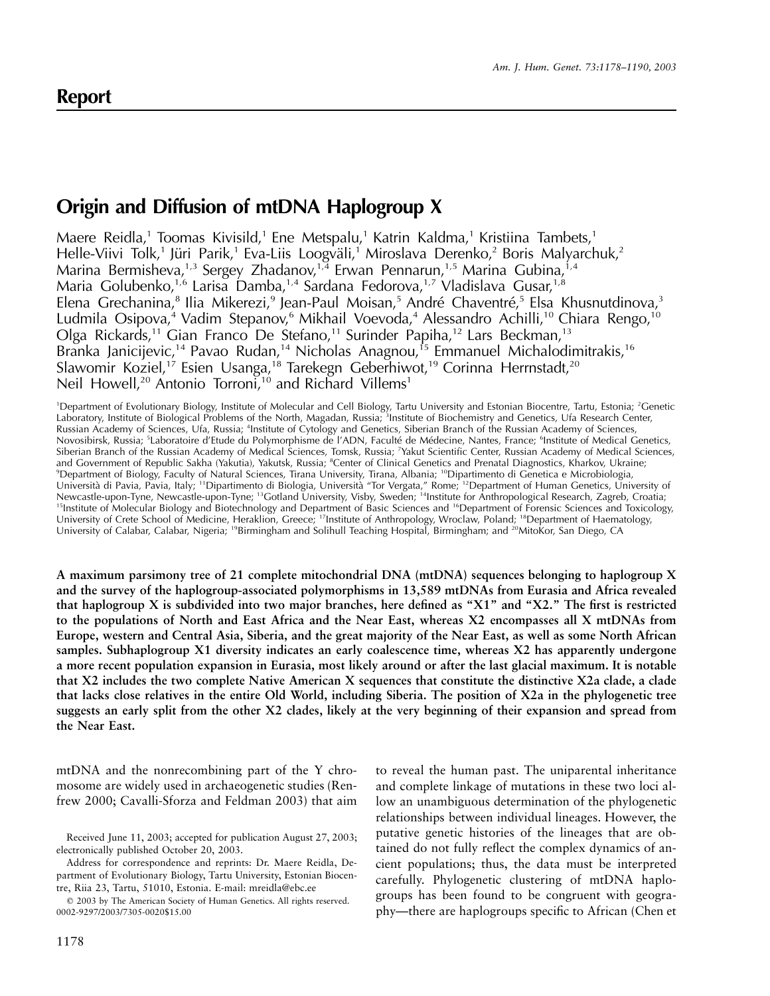# **Report**

# **Origin and Diffusion of mtDNA Haplogroup X**

Maere Reidla,<sup>1</sup> Toomas Kivisild,<sup>1</sup> Ene Metspalu,<sup>1</sup> Katrin Kaldma,<sup>1</sup> Kristiina Tambets,<sup>1</sup> Helle-Viivi Tolk,<sup>1</sup> Jüri Parik,<sup>1</sup> Eva-Liis Loogväli,<sup>1</sup> Miroslava Derenko,<sup>2</sup> Boris Malyarchuk,<sup>2</sup> Marina Bermisheva,<sup>1,3</sup> Sergey Zhadanov,<sup>1,4</sup> Erwan Pennarun,<sup>1,5</sup> Marina Gubina,<sup>1,4</sup> Maria Golubenko,<sup>1,6</sup> Larisa Damba,<sup>1,4</sup> Sardana Fedorova,<sup>1,7</sup> Vladislava Gusar,<sup>1,8</sup> Elena Grechanina,<sup>8</sup> Ilia Mikerezi,<sup>9</sup> Jean-Paul Moisan,<sup>5</sup> André Chaventré,<sup>5</sup> Elsa Khusnutdinova,<sup>3</sup> Ludmila Osipova,<sup>4</sup> Vadim Stepanov,<sup>6</sup> Mikhail Voevoda,<sup>4</sup> Alessandro Achilli,<sup>10</sup> Chiara Rengo,<sup>10</sup> Olga Rickards,<sup>11</sup> Gian Franco De Stefano,<sup>11</sup> Surinder Papiha,<sup>12</sup> Lars Beckman,<sup>13</sup> Branka Janicijevic,<sup>14</sup> Pavao Rudan,<sup>14</sup> Nicholas Anagnou,<sup>15</sup> Emmanuel Michalodimitrakis,<sup>16</sup> Slawomir Koziel,<sup>17</sup> Esien Usanga,<sup>18</sup> Tarekegn Geberhiwot,<sup>19</sup> Corinna Herrnstadt,<sup>20</sup> Neil Howell,<sup>20</sup> Antonio Torroni,<sup>10</sup> and Richard Villems<sup>1</sup>

<sup>1</sup>Department of Evolutionary Biology, Institute of Molecular and Cell Biology, Tartu University and Estonian Biocentre, Tartu, Estonia; <sup>2</sup>Genetic Laboratory, Institute of Biological Problems of the North, Magadan, Russia; <sup>3</sup>Institute of Biochemistry and Genetics, Ufa Research Center, Russian Academy of Sciences, Ufa, Russia; <sup>4</sup>Institute of Cytology and Genetics, Siberian Branch of the Russian Academy of Sciences, Novosibirsk, Russia; <sup>5</sup>Laboratoire d'Etude du Polymorphisme de l'ADN, Faculté de Médecine, Nantes, France; <sup>6</sup>Institute of Medical Genetics, Siberian Branch of the Russian Academy of Medical Sciences, Tomsk, Russia; <sup>7</sup>Yakut Scientific Center, Russian Academy of Medical Sciences, and Government of Republic Sakha (Yakutia), Yakutsk, Russia; <sup>8</sup>Center of Clinical Genetics and Prenatal Diagnostics, Kharkov, Ukraine; 9 Department of Biology, Faculty of Natural Sciences, Tirana University, Tirana, Albania; 10Dipartimento di Genetica e Microbiologia, Università di Pavia, Pavia, Italy; <sup>11</sup>Dipartimento di Biologia, Università "Tor Vergata," Rome; <sup>12</sup>Department of Human Genetics, University of Newcastle-upon-Tyne, Newcastle-upon-Tyne; 13Gotland University, Visby, Sweden; 14Institute for Anthropological Research, Zagreb, Croatia; <sup>15</sup>Institute of Molecular Biology and Biotechnology and Department of Basic Sciences and <sup>16</sup>Department of Forensic Sciences and Toxicology, University of Crete School of Medicine, Heraklion, Greece; <sup>17</sup>Institute of Anthropology, Wroclaw, Poland; <sup>18</sup>Department of Haematology, University of Calabar, Calabar, Nigeria; <sup>19</sup>Birmingham and Solihull Teaching Hospital, Birmingham; and <sup>20</sup>MitoKor, San Diego, CA

**A maximum parsimony tree of 21 complete mitochondrial DNA (mtDNA) sequences belonging to haplogroup X and the survey of the haplogroup-associated polymorphisms in 13,589 mtDNAs from Eurasia and Africa revealed that haplogroup X is subdivided into two major branches, here defined as "X1" and "X2." The first is restricted to the populations of North and East Africa and the Near East, whereas X2 encompasses all X mtDNAs from Europe, western and Central Asia, Siberia, and the great majority of the Near East, as well as some North African samples. Subhaplogroup X1 diversity indicates an early coalescence time, whereas X2 has apparently undergone a more recent population expansion in Eurasia, most likely around or after the last glacial maximum. It is notable that X2 includes the two complete Native American X sequences that constitute the distinctive X2a clade, a clade that lacks close relatives in the entire Old World, including Siberia. The position of X2a in the phylogenetic tree suggests an early split from the other X2 clades, likely at the very beginning of their expansion and spread from the Near East.**

mtDNA and the nonrecombining part of the Y chromosome are widely used in archaeogenetic studies (Renfrew 2000; Cavalli-Sforza and Feldman 2003) that aim

Address for correspondence and reprints: Dr. Maere Reidla, Department of Evolutionary Biology, Tartu University, Estonian Biocentre, Riia 23, Tartu, 51010, Estonia. E-mail: mreidla@ebc.ee

 2003 by The American Society of Human Genetics. All rights reserved. 0002-9297/2003/7305-0020\$15.00

1178

to reveal the human past. The uniparental inheritance and complete linkage of mutations in these two loci allow an unambiguous determination of the phylogenetic relationships between individual lineages. However, the putative genetic histories of the lineages that are obtained do not fully reflect the complex dynamics of ancient populations; thus, the data must be interpreted carefully. Phylogenetic clustering of mtDNA haplogroups has been found to be congruent with geography—there are haplogroups specific to African (Chen et

Received June 11, 2003; accepted for publication August 27, 2003; electronically published October 20, 2003.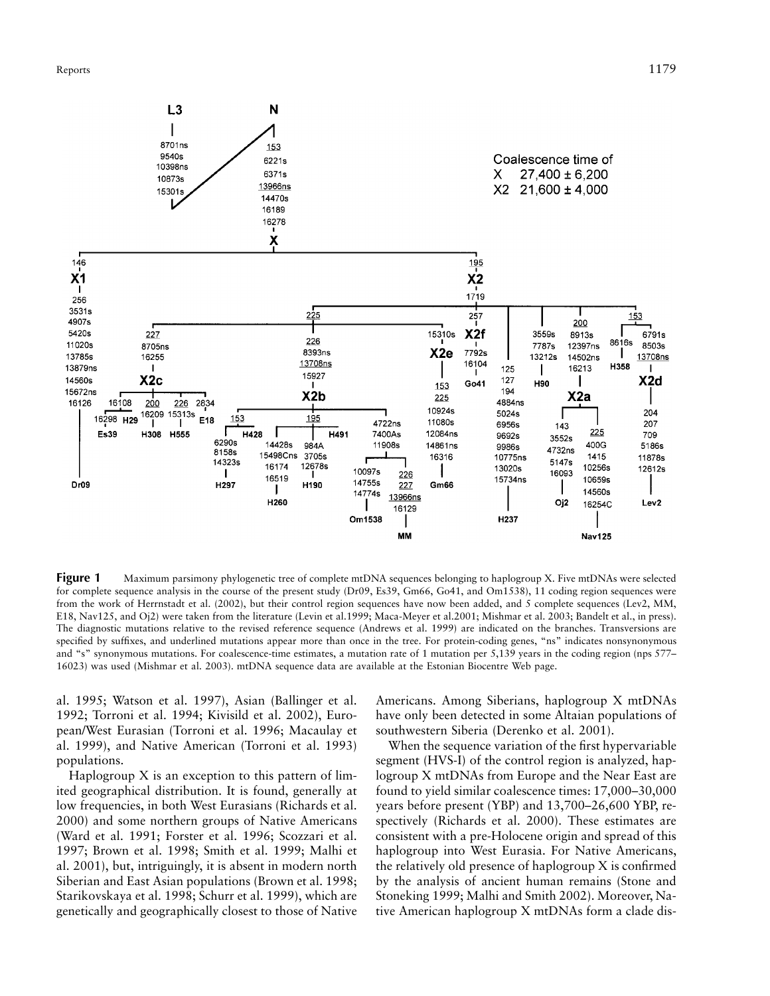

**Figure 1** Maximum parsimony phylogenetic tree of complete mtDNA sequences belonging to haplogroup X. Five mtDNAs were selected for complete sequence analysis in the course of the present study (Dr09, Es39, Gm66, Go41, and Om1538), 11 coding region sequences were from the work of Herrnstadt et al. (2002), but their control region sequences have now been added, and 5 complete sequences (Lev2, MM, E18, Nav125, and Oj2) were taken from the literature (Levin et al.1999; Maca-Meyer et al.2001; Mishmar et al. 2003; Bandelt et al., in press). The diagnostic mutations relative to the revised reference sequence (Andrews et al. 1999) are indicated on the branches. Transversions are specified by suffixes, and underlined mutations appear more than once in the tree. For protein-coding genes, "ns" indicates nonsynonymous and "s" synonymous mutations. For coalescence-time estimates, a mutation rate of 1 mutation per 5,139 years in the coding region (nps 577– 16023) was used (Mishmar et al. 2003). mtDNA sequence data are available at the Estonian Biocentre Web page.

al. 1995; Watson et al. 1997), Asian (Ballinger et al. 1992; Torroni et al. 1994; Kivisild et al. 2002), European/West Eurasian (Torroni et al. 1996; Macaulay et al. 1999), and Native American (Torroni et al. 1993) populations.

Haplogroup X is an exception to this pattern of limited geographical distribution. It is found, generally at low frequencies, in both West Eurasians (Richards et al. 2000) and some northern groups of Native Americans (Ward et al. 1991; Forster et al. 1996; Scozzari et al. 1997; Brown et al. 1998; Smith et al. 1999; Malhi et al. 2001), but, intriguingly, it is absent in modern north Siberian and East Asian populations (Brown et al. 1998; Starikovskaya et al. 1998; Schurr et al. 1999), which are genetically and geographically closest to those of Native

Americans. Among Siberians, haplogroup X mtDNAs have only been detected in some Altaian populations of southwestern Siberia (Derenko et al. 2001).

When the sequence variation of the first hypervariable segment (HVS-I) of the control region is analyzed, haplogroup X mtDNAs from Europe and the Near East are found to yield similar coalescence times: 17,000–30,000 years before present (YBP) and 13,700–26,600 YBP, respectively (Richards et al. 2000). These estimates are consistent with a pre-Holocene origin and spread of this haplogroup into West Eurasia. For Native Americans, the relatively old presence of haplogroup X is confirmed by the analysis of ancient human remains (Stone and Stoneking 1999; Malhi and Smith 2002). Moreover, Native American haplogroup X mtDNAs form a clade dis-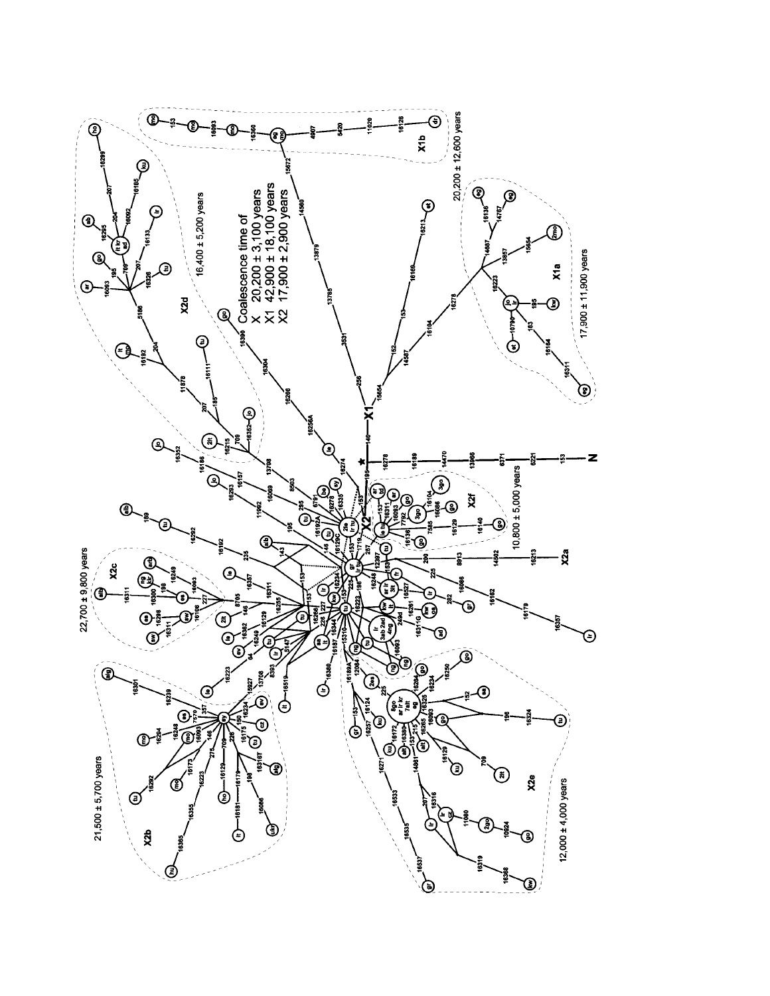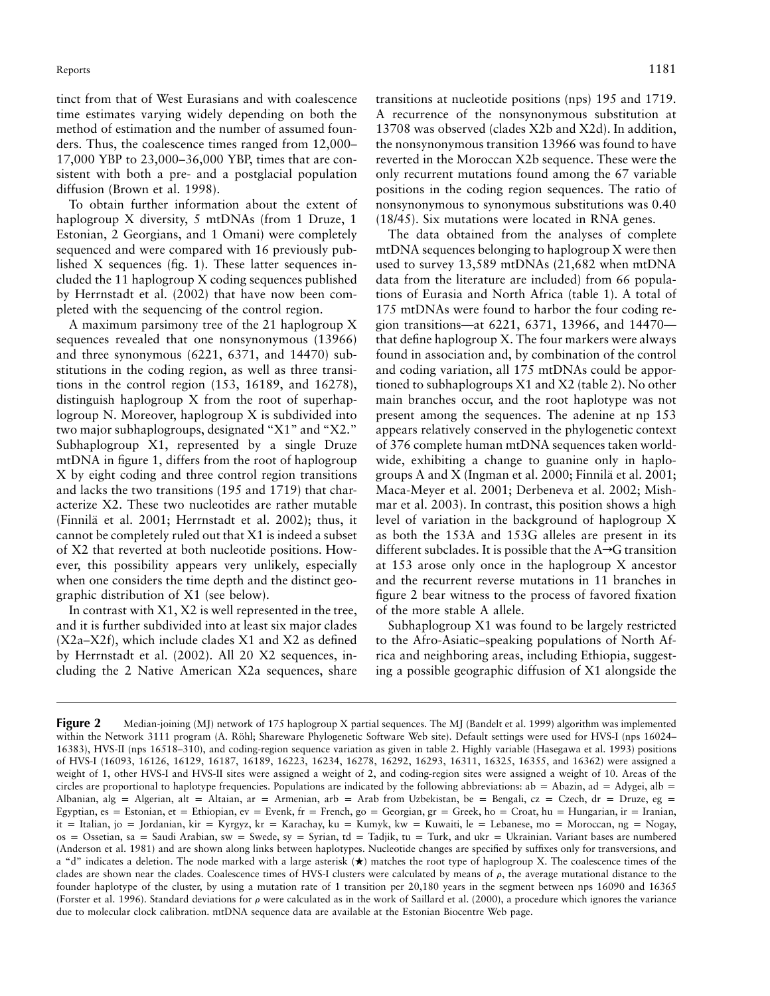tinct from that of West Eurasians and with coalescence time estimates varying widely depending on both the method of estimation and the number of assumed founders. Thus, the coalescence times ranged from 12,000– 17,000 YBP to 23,000–36,000 YBP, times that are consistent with both a pre- and a postglacial population diffusion (Brown et al. 1998).

To obtain further information about the extent of haplogroup X diversity, 5 mtDNAs (from 1 Druze, 1 Estonian, 2 Georgians, and 1 Omani) were completely sequenced and were compared with 16 previously published X sequences (fig. 1). These latter sequences included the 11 haplogroup X coding sequences published by Herrnstadt et al. (2002) that have now been completed with the sequencing of the control region.

A maximum parsimony tree of the 21 haplogroup X sequences revealed that one nonsynonymous (13966) and three synonymous (6221, 6371, and 14470) substitutions in the coding region, as well as three transitions in the control region (153, 16189, and 16278), distinguish haplogroup X from the root of superhaplogroup N. Moreover, haplogroup X is subdivided into two major subhaplogroups, designated "X1" and "X2." Subhaplogroup X1, represented by a single Druze mtDNA in figure 1, differs from the root of haplogroup X by eight coding and three control region transitions and lacks the two transitions (195 and 1719) that characterize X2. These two nucleotides are rather mutable (Finnila¨ et al. 2001; Herrnstadt et al. 2002); thus, it cannot be completely ruled out that X1 is indeed a subset of X2 that reverted at both nucleotide positions. However, this possibility appears very unlikely, especially when one considers the time depth and the distinct geographic distribution of X1 (see below).

In contrast with X1, X2 is well represented in the tree, and it is further subdivided into at least six major clades (X2a–X2f), which include clades X1 and X2 as defined by Herrnstadt et al. (2002). All 20 X2 sequences, including the 2 Native American X2a sequences, share

transitions at nucleotide positions (nps) 195 and 1719. A recurrence of the nonsynonymous substitution at 13708 was observed (clades X2b and X2d). In addition, the nonsynonymous transition 13966 was found to have reverted in the Moroccan X2b sequence. These were the only recurrent mutations found among the 67 variable positions in the coding region sequences. The ratio of nonsynonymous to synonymous substitutions was 0.40 (18/45). Six mutations were located in RNA genes.

The data obtained from the analyses of complete mtDNA sequences belonging to haplogroup X were then used to survey 13,589 mtDNAs (21,682 when mtDNA data from the literature are included) from 66 populations of Eurasia and North Africa (table 1). A total of 175 mtDNAs were found to harbor the four coding region transitions—at 6221, 6371, 13966, and 14470 that define haplogroup X. The four markers were always found in association and, by combination of the control and coding variation, all 175 mtDNAs could be apportioned to subhaplogroups X1 and X2 (table 2). No other main branches occur, and the root haplotype was not present among the sequences. The adenine at np 153 appears relatively conserved in the phylogenetic context of 376 complete human mtDNA sequences taken worldwide, exhibiting a change to guanine only in haplogroups A and X (Ingman et al. 2000; Finnilä et al. 2001; Maca-Meyer et al. 2001; Derbeneva et al. 2002; Mishmar et al. 2003). In contrast, this position shows a high level of variation in the background of haplogroup X as both the 153A and 153G alleles are present in its different subclades. It is possible that the  $A\rightarrow G$  transition at 153 arose only once in the haplogroup X ancestor and the recurrent reverse mutations in 11 branches in figure 2 bear witness to the process of favored fixation of the more stable A allele.

Subhaplogroup X1 was found to be largely restricted to the Afro-Asiatic–speaking populations of North Africa and neighboring areas, including Ethiopia, suggesting a possible geographic diffusion of X1 alongside the

**Figure 2** Median-joining (MJ) network of 175 haplogroup X partial sequences. The MJ (Bandelt et al. 1999) algorithm was implemented within the Network 3111 program (A. Röhl; Shareware Phylogenetic Software Web site). Default settings were used for HVS-I (nps 16024– 16383), HVS-II (nps 16518–310), and coding-region sequence variation as given in table 2. Highly variable (Hasegawa et al. 1993) positions of HVS-I (16093, 16126, 16129, 16187, 16189, 16223, 16234, 16278, 16292, 16293, 16311, 16325, 16355, and 16362) were assigned a weight of 1, other HVS-I and HVS-II sites were assigned a weight of 2, and coding-region sites were assigned a weight of 10. Areas of the circles are proportional to haplotype frequencies. Populations are indicated by the following abbreviations: ab = Abazin, ad = Adygei, alb = Albanian, alg = Algerian, alt = Altaian, ar = Armenian, arb = Arab from Uzbekistan, be = Bengali, cz = Czech, dr = Druze, eg = Egyptian, es = Estonian, et = Ethiopian, ev = Evenk, fr = French, go = Georgian, gr = Greek, ho = Croat, hu = Hungarian, ir = Iranian, it = Italian, jo = Jordanian, kir = Kyrgyz, kr = Karachay, ku = Kumyk, kw = Kuwaiti, le = Lebanese, mo = Moroccan, ng = Nogay,  $os =$  Ossetian, sa = Saudi Arabian, sw = Swede, sy = Syrian, td = Tadjik, tu = Turk, and ukr = Ukrainian. Variant bases are numbered (Anderson et al. 1981) and are shown along links between haplotypes. Nucleotide changes are specified by suffixes only for transversions, and a "d" indicates a deletion. The node marked with a large asterisk ( $\bigstar$ ) matches the root type of haplogroup X. The coalescence times of the clades are shown near the clades. Coalescence times of HVS-I clusters were calculated by means of  $\rho$ , the average mutational distance to the founder haplotype of the cluster, by using a mutation rate of 1 transition per 20,180 years in the segment between nps 16090 and 16365 (Forster et al. 1996). Standard deviations for  $\rho$  were calculated as in the work of Saillard et al. (2000), a procedure which ignores the variance due to molecular clock calibration. mtDNA sequence data are available at the Estonian Biocentre Web page.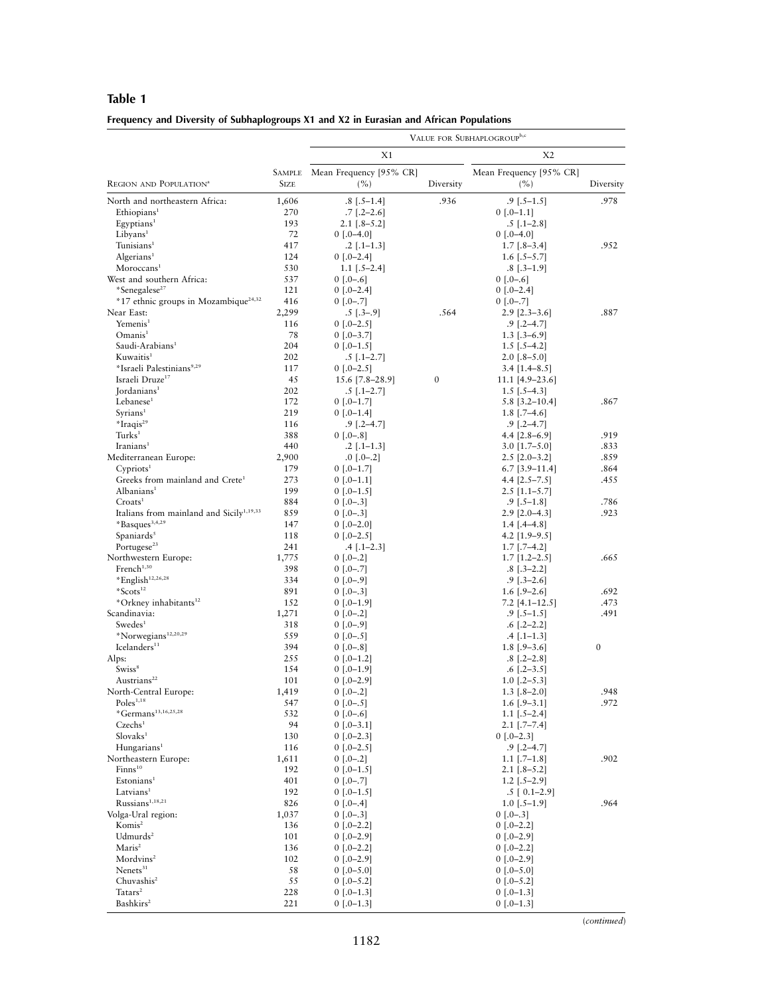## **Table 1**

| Frequency and Diversity of Subhaplogroups X1 and X2 in Eurasian and African Populations |  |
|-----------------------------------------------------------------------------------------|--|
|                                                                                         |  |

|                                                      |               | VALUE FOR SUBHAPLOGROUP <sup>b,c</sup> |           |                                           |                  |  |  |
|------------------------------------------------------|---------------|----------------------------------------|-----------|-------------------------------------------|------------------|--|--|
|                                                      |               | X1                                     |           | X <sub>2</sub>                            |                  |  |  |
|                                                      | <b>SAMPLE</b> | Mean Frequency [95% CR]                |           | Mean Frequency [95% CR]                   |                  |  |  |
| REGION AND POPULATION <sup>a</sup>                   | <b>SIZE</b>   | $(\%)$                                 | Diversity | (%)                                       | Diversity        |  |  |
| North and northeastern Africa:                       | 1,606         | $.8$ [ $.5-1.4$ ]                      | .936      | $.9$ [.5–1.5]                             | .978             |  |  |
| Ethiopians <sup>1</sup>                              | 270           | $.7$ [.2–2.6]                          |           | $0$ [.0–1.1]                              |                  |  |  |
| Egyptians <sup>1</sup>                               | 193           | $2.1$ [.8–5.2]                         |           | $.5$ [.1–2.8]                             |                  |  |  |
| Libyans <sup>1</sup><br>Tunisians <sup>1</sup>       | 72<br>417     | $0$ [.0–4.0]                           |           | $0$ [.0–4.0]                              |                  |  |  |
| Algerians <sup>1</sup>                               | 124           | $.2$ [.1–1.3]<br>$0$ [.0-2.4]          |           | $1.7$ [.8–3.4]<br>1.6 $[-5-5.7]$          | .952             |  |  |
| Moroccans <sup>1</sup>                               | 530           | 1.1 $[-5-2.4]$                         |           | $.8$ [.3–1.9]                             |                  |  |  |
| West and southern Africa:                            | 537           | $0$ [.0–.6]                            |           | $0$ [.0–.6]                               |                  |  |  |
| *Senegalese <sup>27</sup>                            | 121           | $0$ [.0–2.4]                           |           | $0$ [.0-2.4]                              |                  |  |  |
| *17 ethnic groups in Mozambique <sup>24,32</sup>     | 416           | $0$ [.0–.7]                            |           | $0$ [.0-.7]                               |                  |  |  |
| Near East:                                           | 2,299         | $.5$ [ $.3-.9$ ]                       | .564      | $2.9$ [2.3–3.6]                           | .887             |  |  |
| Yemenis <sup>1</sup>                                 | 116           | $0$ [.0–2.5]                           |           | $.9$ [.2–4.7]                             |                  |  |  |
| Omanis <sup>1</sup>                                  | 78            | $0$ [.0–3.7]                           |           | $1.3$ [.3–6.9]                            |                  |  |  |
| Saudi-Arabians <sup>1</sup><br>Kuwaitis <sup>1</sup> | 204<br>202    | $0$ [.0–1.5]<br>$.5$ [ $.1-2.7$ ]      |           | $1.5$ [.5–4.2]<br>$2.0$ [.8–5.0]          |                  |  |  |
| *Israeli Palestinians <sup>9,29</sup>                | 117           | $0$ [.0–2.5]                           |           | $3.4$ [1.4–8.5]                           |                  |  |  |
| Israeli Druze <sup>17</sup>                          | 45            | 15.6 [7.8–28.9]                        | 0         | $11.1$ [4.9–23.6]                         |                  |  |  |
| Iordanians <sup>1</sup>                              | 202           | $.5$ [.1–2.7]                          |           | 1.5 $[-5-4.3]$                            |                  |  |  |
| Lebanese <sup>1</sup>                                | 172           | $0$ [.0-1.7]                           |           | $5.8$ [3.2-10.4]                          | .867             |  |  |
| Syrians <sup>1</sup>                                 | 219           | $0$ [.0–1.4]                           |           | $1.8$ [.7–4.6]                            |                  |  |  |
| *Iraqis <sup>29</sup>                                | 116           | $.9$ [.2–4.7]                          |           | $.9$ [.2–4.7]                             |                  |  |  |
| Turks <sup>1</sup>                                   | 388           | $0$ [.0–.8]                            |           | 4.4 $[2.8-6.9]$                           | .919             |  |  |
| Iranians <sup>1</sup>                                | 440           | $.2$ [ $.1-1.3$ ]                      |           | $3.0$ [1.7–5.0]                           | .833             |  |  |
| Mediterranean Europe:<br>$C$ ypriots <sup>1</sup>    | 2,900<br>179  | $.0$ [.0–.2]<br>$0$ [.0–1.7]           |           | $2.5$ [ $2.0 - 3.2$ ]<br>$6.7$ [3.9-11.4] | .859<br>.864     |  |  |
| Greeks from mainland and Crete <sup>1</sup>          | 273           | $0$ [.0–1.1]                           |           | 4.4 $[2.5-7.5]$                           | .455             |  |  |
| Albanians <sup>1</sup>                               | 199           | $0$ [.0–1.5]                           |           | $2.5$ [1.1–5.7]                           |                  |  |  |
| Croots <sup>1</sup>                                  | 884           | $0$ [.0–.3]                            |           | $.9$ [ $.5-1.8$ ]                         | .786             |  |  |
| Italians from mainland and Sicily <sup>1,19,33</sup> | 859           | $0$ [.0–.3]                            |           | $2.9$ [2.0–4.3]                           | .923             |  |  |
| $*$ Basques <sup>3,4,29</sup>                        | 147           | $0$ [.0–2.0]                           |           | $1.4$ [.4–4.8]                            |                  |  |  |
| Spaniards <sup>5</sup>                               | 118           | $0$ [.0–2.5]                           |           | $4.2$ [1.9–9.5]                           |                  |  |  |
| Portugese <sup>23</sup>                              | 241           | $.4$ [.1–2.3]                          |           | $1.7$ [.7–4.2]                            |                  |  |  |
| Northwestern Europe:<br>French <sup>1,30</sup>       | 1,775<br>398  | $0$ [.0–.2]                            |           | $1.7$ [1.2–2.5]                           | .665             |  |  |
| *English <sup>12,26,28</sup>                         | 334           | $0$ [.0–.7]<br>$0$ [.0–.9]             |           | $.8$ [ $.3-2.2$ ]<br>$.9$ [.3–2.6]        |                  |  |  |
| $*12$                                                | 891           | $0$ [.0–.3]                            |           | $1.6$ [.9–2.6]                            | .692             |  |  |
| *Orkney inhabitants <sup>12</sup>                    | 152           | $0$ [.0–1.9]                           |           | 7.2 [4.1–12.5]                            | .473             |  |  |
| Scandinavia:                                         | 1,271         | $0$ [.0–.2]                            |           | $.9$ [.5–1.5]                             | .491             |  |  |
| Swedes <sup>1</sup>                                  | 318           | $0$ [.0–.9]                            |           | $.6$ [.2–2.2]                             |                  |  |  |
| *Norwegians <sup>12,20,29</sup>                      | 559           | $0$ [.0–.5]                            |           | $.4$ [.1–1.3]                             |                  |  |  |
| Icelanders <sup>11</sup>                             | 394           | $0$ [.0–.8]                            |           | $1.8$ [.9–3.6]                            | $\boldsymbol{0}$ |  |  |
| Alps:<br>Swiss <sup>8</sup>                          | 255<br>154    | $0$ [.0–1.2]                           |           | $.8$ [.2–2.8]                             |                  |  |  |
| Austrians <sup>22</sup>                              | 101           | $0$ [.0–1.9]<br>$0$ [.0-2.9]           |           | $.6$ [.2–3.5]<br>$1.0$ [.2–5.3]           |                  |  |  |
| North-Central Europe:                                | 1,419         | $0$ [.0–.2]                            |           | $1.3$ [.8–2.0]                            | 948              |  |  |
| Poles <sup>1,18</sup>                                | 547           | $0$ [.0–.5]                            |           | $1.6$ [.9-3.1]                            | .972             |  |  |
| *Germans <sup>13,16,25,28</sup>                      | 532           | $0$ [.0–.6]                            |           | $1.1$ [.5-2.4]                            |                  |  |  |
| Czechs <sup>1</sup>                                  | 94            | $0$ [.0–3.1]                           |           | $2.1$ [.7-7.4]                            |                  |  |  |
| Slovaks <sup>1</sup>                                 | 130           | $0$ [.0-2.3]                           |           | $0$ [.0–2.3]                              |                  |  |  |
| Hungarians <sup>1</sup>                              | 116           | $0$ [.0–2.5]                           |           | $.9$ [ $.2-4.7$ ]                         |                  |  |  |
| Northeastern Europe:<br>Finns <sup>10</sup>          | 1,611<br>192  | $0$ [.0–.2]                            |           | $1.1$ [.7–1.8]                            | .902             |  |  |
| Estonians <sup>1</sup>                               | 401           | $0$ [.0–1.5]<br>$0$ [.0–.7]            |           | $2.1$ [.8–5.2]<br>$1.2$ [.5–2.9]          |                  |  |  |
| Latvians <sup>1</sup>                                | 192           | $0$ [.0–1.5]                           |           | $.5$ [ 0.1-2.9]                           |                  |  |  |
| Russians <sup>1,18,21</sup>                          | 826           | $0$ [.0–.4]                            |           | $1.0$ [.5–1.9]                            | .964             |  |  |
| Volga-Ural region:                                   | 1,037         | $0$ [.0–.3]                            |           | $0$ [.0–.3]                               |                  |  |  |
| Komis <sup>2</sup>                                   | 136           | $0$ [.0–2.2]                           |           | $0$ [.0–2.2]                              |                  |  |  |
| Udmurds <sup>2</sup>                                 | 101           | $0$ [.0–2.9]                           |           | $0$ [.0–2.9]                              |                  |  |  |
| Maris <sup>2</sup>                                   | 136           | $0$ [.0–2.2]                           |           | $0$ [.0-2.2]                              |                  |  |  |
| Mordvins <sup>2</sup><br>Nenets <sup>31</sup>        | 102           | $0$ [.0–2.9]                           |           | $0$ [.0–2.9]                              |                  |  |  |
| Chuvashis <sup>2</sup>                               | 58<br>55      | $0$ [.0–5.0]<br>$0$ [.0–5.2]           |           | $0$ [.0–5.0]<br>$0$ [.0–5.2]              |                  |  |  |
| Tatars <sup>2</sup>                                  | 228           | $0$ [.0–1.3]                           |           | $0$ [.0–1.3]                              |                  |  |  |
| Bashkirs <sup>2</sup>                                | 221           | $0$ [.0–1.3]                           |           | $0$ [.0-1.3]                              |                  |  |  |

(*continued*)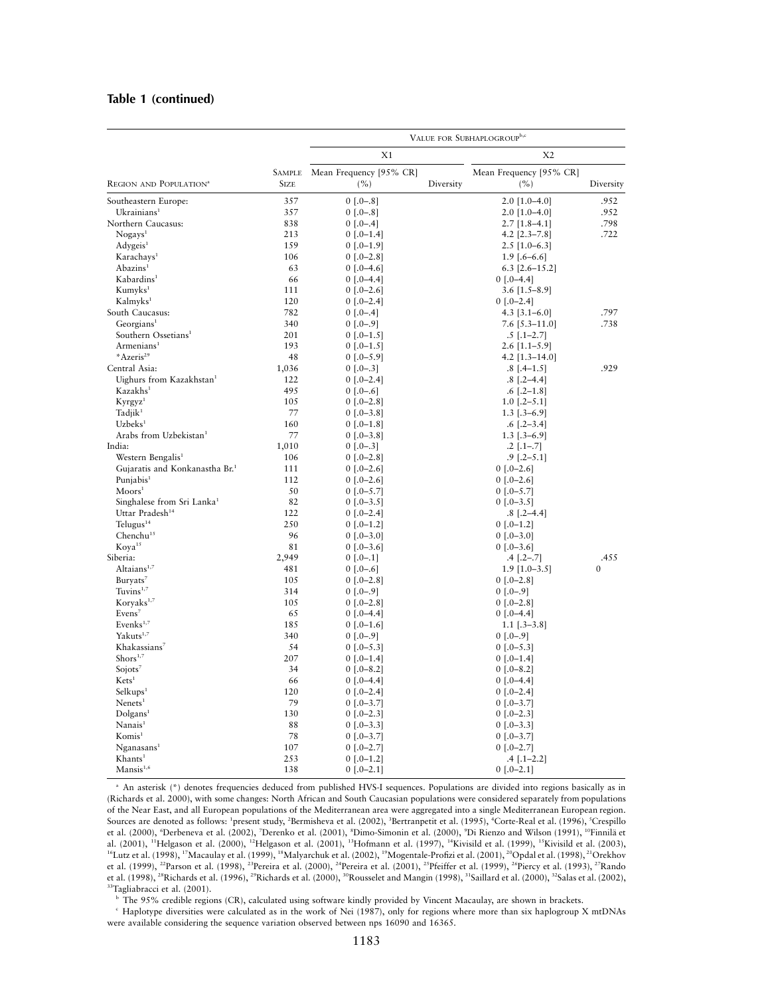#### **Table 1 (continued)**

|                                                  |               | VALUE FOR SUBHAPLOGROUP <sup>b,c</sup> |                |                              |           |  |  |
|--------------------------------------------------|---------------|----------------------------------------|----------------|------------------------------|-----------|--|--|
|                                                  | X1            |                                        | X <sub>2</sub> |                              |           |  |  |
|                                                  | <b>SAMPLE</b> | Mean Frequency [95% CR]                |                | Mean Frequency [95% CR]      |           |  |  |
| REGION AND POPULATION <sup>a</sup>               | <b>SIZE</b>   | (%)                                    | Diversity      | (%)                          | Diversity |  |  |
| Southeastern Europe:                             | 357           | $0$ [.0-.8]                            |                | $2.0$ [1.0-4.0]              | .952      |  |  |
| $Uk$ rainians <sup>1</sup>                       | 357           | $0$ [.0-.8]                            |                | $2.0$ [1.0-4.0]              | .952      |  |  |
| Northern Caucasus:                               | 838           | $0$ [.0–.4]                            |                | $2.7$ [1.8-4.1]              | .798      |  |  |
| Nogays <sup>1</sup>                              | 213           | $0$ [.0-1.4]                           |                | 4.2 $[2.3 - 7.8]$            | .722      |  |  |
| Adygeis <sup>1</sup>                             | 159           | $0$ [.0–1.9]                           |                | $2.5$ [1.0–6.3]              |           |  |  |
| Karachays <sup>1</sup>                           | 106           | $0$ [.0–2.8]                           |                | $1.9$ [.6–6.6]               |           |  |  |
| Abazins <sup>1</sup>                             | 63            | $0$ [.0–4.6]                           |                | $6.3$ [2.6-15.2]             |           |  |  |
| Kabardins <sup>1</sup>                           | 66            | $0$ [.0–4.4]                           |                | $0$ [.0–4.4]                 |           |  |  |
| Kumyks <sup>1</sup>                              | 111           | $0$ [.0–2.6]                           |                | $3.6$ [1.5-8.9]              |           |  |  |
| Kalmyks <sup>1</sup>                             | 120           | $0$ [.0-2.4]                           |                | $0$ [.0-2.4]                 |           |  |  |
| South Caucasus:                                  | 782           | $0$ [.0–.4]                            |                | 4.3 $[3.1 - 6.0]$            | .797      |  |  |
| Georgians <sup>1</sup>                           | 340           | $0$ [.0–.9]                            |                | $7.6$ [5.3–11.0]             | .738      |  |  |
| Southern Ossetians <sup>1</sup>                  | 201           | $0$ [.0-1.5]                           |                | $.5$ [ $.1-2.7$ ]            |           |  |  |
| Armenians <sup>1</sup>                           | 193           | $0$ [.0–1.5]                           |                | $2.6$ [1.1–5.9]              |           |  |  |
| *Azeris <sup>29</sup>                            | 48            | $0$ [.0–5.9]                           |                | $4.2$ [1.3-14.0]             |           |  |  |
| Central Asia:                                    | 1,036         | $0$ [.0–.3]                            |                | $.8$ [.4-1.5]                | .929      |  |  |
| Uighurs from Kazakhstan <sup>1</sup>             | 122           | $0$ [.0–2.4]                           |                | $.8$ [.2–4.4]                |           |  |  |
| Kazakhs <sup>1</sup>                             | 495           | $0$ [.0–.6]                            |                | $.6$ [.2–1.8]                |           |  |  |
| Kyrgyz <sup>1</sup>                              | 105           | $0$ [.0–2.8]                           |                | $1.0$ [.2–5.1]               |           |  |  |
| Tadjik <sup>1</sup>                              | 77            | $0$ [.0–3.8]                           |                | $1.3$ [.3–6.9]               |           |  |  |
| $Uz$ beks <sup>1</sup>                           | 160           | $0$ [.0-1.8]                           |                | $.6$ [.2–3.4]                |           |  |  |
| Arabs from Uzbekistan <sup>1</sup>               | 77            | $0$ [.0–3.8]                           |                | $1.3$ [.3-6.9]               |           |  |  |
| India:                                           | 1,010         | $0$ [.0–.3]                            |                | $.2$ [ $.1-.7$ ]             |           |  |  |
| Western Bengalis <sup>1</sup>                    | 106           | $0$ [.0–2.8]                           |                | $.9$ [ $.2-5.1$ ]            |           |  |  |
| Gujaratis and Konkanastha Br. <sup>1</sup>       | 111           | $0$ [.0–2.6]                           |                | $0$ [.0-2.6]                 |           |  |  |
| Puniabis <sup>1</sup>                            | 112           | $0$ [.0–2.6]                           |                | $0$ [.0–2.6]                 |           |  |  |
| $M$ oors <sup>1</sup>                            | 50            | $0$ [.0–5.7]                           |                | $0$ [.0-5.7]                 |           |  |  |
| Singhalese from Sri Lanka <sup>1</sup>           | 82            | $0$ [.0–3.5]                           |                | $0$ [.0–3.5]                 |           |  |  |
| Uttar Pradesh <sup>14</sup>                      | 122           | $0$ [.0-2.4]                           |                | $.8$ [.2–4.4]                |           |  |  |
| Telugus $14$                                     | 250           | $0$ [.0-1.2]                           |                | $0$ [.0–1.2]                 |           |  |  |
| Chenchu <sup>15</sup>                            | 96            | $0$ [.0–3.0]                           |                | $0$ [.0–3.0]                 |           |  |  |
| Koya <sup>15</sup>                               | 81            | $0$ [.0–3.6]                           |                | $0$ [.0–3.6]                 |           |  |  |
| Siberia:                                         | 2,949         | $0$ [.0–.1]                            |                | $.4$ [ $.2-.7$ ]             | .455      |  |  |
| Altaians <sup>1,7</sup>                          | 481           | $0$ [.0–.6]                            |                | $1.9$ [1.0–3.5]              | $\theta$  |  |  |
| Buryats <sup>7</sup>                             | 105           | $0$ [.0–2.8]                           |                | $0$ [.0–2.8]                 |           |  |  |
| Tuvins $1,7$                                     | 314           | $0$ [.0-.9]                            |                | $0$ [.0–.9]                  |           |  |  |
| Koryaks <sup>1,7</sup>                           | 105           | $0$ [.0-2.8]                           |                | $0$ [.0-2.8]                 |           |  |  |
| Evens <sup>7</sup><br>Evenks <sup>1,7</sup>      | 65            | $0$ [.0–4.4]                           |                | $0$ [.0–4.4]                 |           |  |  |
|                                                  | 185<br>340    | $0$ [.0–1.6]                           |                | $1.1$ [.3-3.8]               |           |  |  |
| Yakuts <sup>1,7</sup>                            |               | $0$ [.0–.9]                            |                | $0$ [.0–.9]                  |           |  |  |
| Khakassians <sup>7</sup><br>Short <sup>1,7</sup> | 54<br>207     | $0$ [.0–5.3]                           |                | $0$ [.0–5.3]                 |           |  |  |
| Sojots <sup>7</sup>                              | 34            | $0$ [.0–1.4]                           |                | $0$ [.0–1.4]                 |           |  |  |
| Kets <sup>1</sup>                                | 66            | $0$ [.0–8.2]<br>$0$ [.0–4.4]           |                | $0$ [.0–8.2]<br>$0$ [.0–4.4] |           |  |  |
| $S$ elkups <sup>1</sup>                          | 120           | $0$ [.0-2.4]                           |                | $0$ [.0-2.4]                 |           |  |  |
| $N$ enets <sup>1</sup>                           | 79            |                                        |                | $0$ [.0–3.7]                 |           |  |  |
| Dolgens <sup>1</sup>                             | 130           | $0$ [.0–3.7]                           |                |                              |           |  |  |
| Nanais <sup>1</sup>                              | 88            | $0$ [.0–2.3]<br>$0$ [.0–3.3]           |                | $0$ [.0–2.3]<br>$0$ [.0–3.3] |           |  |  |
| Komis <sup>1</sup>                               | 78            | $0$ [.0–3.7]                           |                | $0$ [.0–3.7]                 |           |  |  |
| $N$ ganasans <sup>1</sup>                        | 107           | $0$ [.0–2.7]                           |                | $0$ [.0-2.7]                 |           |  |  |
| Khants <sup>1</sup>                              | 253           | $0$ [.0–1.2]                           |                | $.4$ [.1-2.2]                |           |  |  |
| Mansis <sup>1,6</sup>                            | 138           | $0$ [.0-2.1]                           |                | $0$ [.0-2.1]                 |           |  |  |
|                                                  |               |                                        |                |                              |           |  |  |

<sup>a</sup> An asterisk (\*) denotes frequencies deduced from published HVS-I sequences. Populations are divided into regions basically as in (Richards et al. 2000), with some changes: North African and South Caucasian populations were considered separately from populations of the Near East, and all European populations of the Mediterranean area were aggregated into a single Mediterranean European region. Sources are denoted as follows: 'present study, 'Bermisheva et al. (2002), 'Bertranpetit et al. (1995), 'Corte-Real et al. (1996), <sup>s</sup>Crespillo et al. (2000), <sup>6</sup>Derbeneva et al. (2002), <sup>7</sup>Derenko et al. (2001), <sup>8</sup>Dimo-Simonin et al. (2000), <sup>9</sup>Di Rienzo and Wilson (1991), <sup>10</sup>Finnilä et al. (2001), <sup>11</sup>Helgason et al. (2000), <sup>12</sup>Helgason et al. (2001), <sup>13</sup>Hofmann et al. (1997), <sup>14</sup>Kivisild et al. (1999), <sup>15</sup>Kivisild et al. (2003),  $^{16}$ Lutz et al. (1998),  $^{17}$ Macaulay et al. (1999),  $^{18}$ Malyarchuk et al. (2002),  $^{19}$ Mogentale-Profizi et al. (2001),  $^{20}$ Opdal et al. (1998),  $^{21}$ Orekhov et al. (1999), 22Parson et al. (1998), 23Pereira et al. (2000), 24Pereira et al. (2001), 25Pfeiffer et al. (1999), 26Piercy et al. (1993), 27Rando et al. (1998), 28Richards et al. (1996), 29Richards et al. (2000), 30Rousselet and Mangin (1998), 31Saillard et al. (2000), 32Salas et al. (2002), 33Tagliabracci et al. (2001).

<sup>b</sup> The 95% credible regions (CR), calculated using software kindly provided by Vincent Macaulay, are shown in brackets.

<sup>c</sup> Haplotype diversities were calculated as in the work of Nei (1987), only for regions where more than six haplogroup X mtDNAs were available considering the sequence variation observed between nps 16090 and 16365.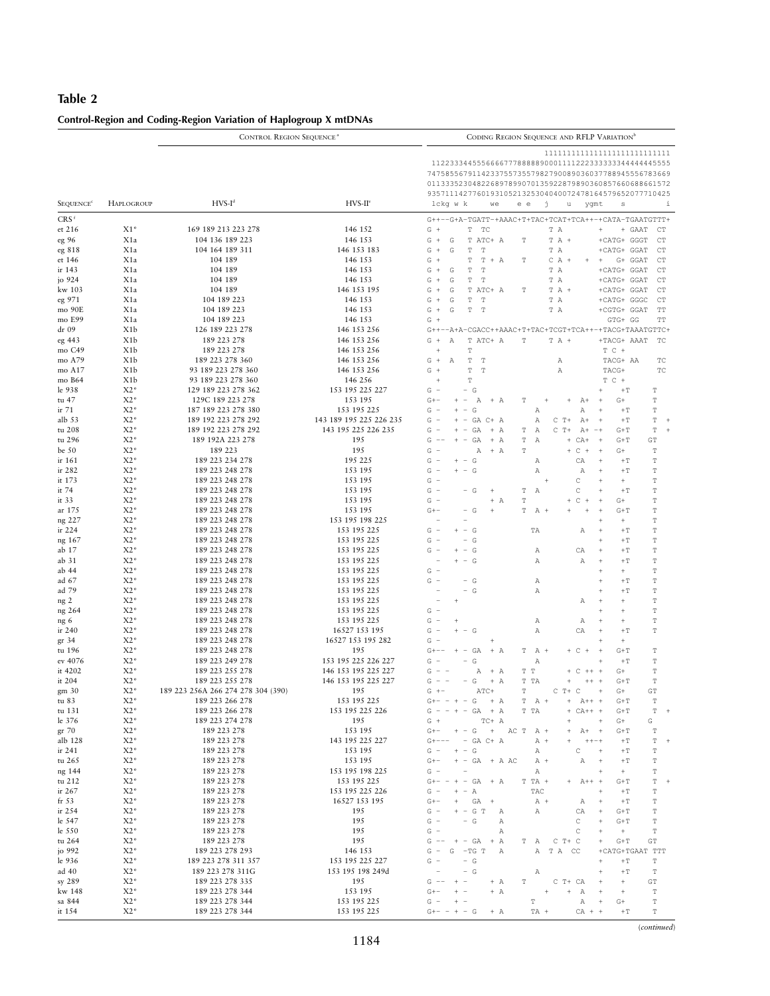## Table 2

| Control-Region and Coding-Region Variation of Haplogroup X mtDNAs |  |  |
|-------------------------------------------------------------------|--|--|
|                                                                   |  |  |

|                             | <b>CONTROL REGION SEQUENCE<sup>®</sup></b>                                                                                                                                                                                                                                                                                 |                                           |                                | CODING REGION SEQUENCE AND RFLP VARIATION <sup>b</sup>                                                                                                                                             |  |  |  |  |  |  |
|-----------------------------|----------------------------------------------------------------------------------------------------------------------------------------------------------------------------------------------------------------------------------------------------------------------------------------------------------------------------|-------------------------------------------|--------------------------------|----------------------------------------------------------------------------------------------------------------------------------------------------------------------------------------------------|--|--|--|--|--|--|
| <b>SEQUENCE<sup>c</sup></b> | 1111111111111111111111111111111<br>1122333445556666777888889000111122233333334444445555<br>747585567911423375573557982790089036037788945556783669<br>011333523048226897899070135922879890360857660688661572<br>935711142776019310521325304040072478164579652077710425<br>lckg w k<br>j<br>i<br>e e<br>u<br>ygmt<br>we<br>s |                                           |                                |                                                                                                                                                                                                    |  |  |  |  |  |  |
| CRS <sup>f</sup>            |                                                                                                                                                                                                                                                                                                                            |                                           |                                | G++--G+A-TGATT-+AAAC+T+TAC+TCAT+TCA++-+CATA-TGAATGTTT+                                                                                                                                             |  |  |  |  |  |  |
| et 216                      | $X1*$                                                                                                                                                                                                                                                                                                                      | 169 189 213 223 278                       | 146 152                        | $\mathbb T$<br>TC<br>$G +$<br>T A<br>$\ddot{}$<br>+ GAAT<br>CT                                                                                                                                     |  |  |  |  |  |  |
| eg 96                       | X1a                                                                                                                                                                                                                                                                                                                        | 104 136 189 223                           | 146 153                        | G<br>$\ddot{}$<br>${\mathbb G}$<br>T ATC+ A<br>$\mathbb{T}$ A $\,$ +<br>+CATG+ GGGT<br>CT<br>Т                                                                                                     |  |  |  |  |  |  |
| eg 818                      | X1a                                                                                                                                                                                                                                                                                                                        | 104 164 189 311                           | 146 153 183                    | $\ddot{}$<br>G<br>G<br>$\mathbb T$<br>$\mathbf T$<br>T A<br>+CATG+ GGAT<br>CT                                                                                                                      |  |  |  |  |  |  |
| et 146                      | X1a                                                                                                                                                                                                                                                                                                                        | 104 189                                   | 146 153                        | $G +$<br>$\mathbb T$<br>$\mathbb T$<br>$+ A$<br>G+ GGAT<br>CT<br>$C A +$<br>$\ddot{}$<br>$\ddot{}$<br>T                                                                                            |  |  |  |  |  |  |
| ir 143                      | X1a                                                                                                                                                                                                                                                                                                                        | 104 189                                   | 146 153                        | G<br>G<br>$\mathbb T$<br>$\mathbf T$<br>T A<br>$^{+}$<br>+CATG+ GGAT<br>CT                                                                                                                         |  |  |  |  |  |  |
| jo 924                      | X1a                                                                                                                                                                                                                                                                                                                        | 104 189                                   | 146 153                        | G<br>$\; +$<br>G<br>$\mathbb T$<br>$\mathbf T$<br>T A<br>+CATG+ GGAT<br>CT                                                                                                                         |  |  |  |  |  |  |
| kw 103                      | X1a                                                                                                                                                                                                                                                                                                                        | 104 189                                   | 146 153 195                    | G<br>$+$<br>G<br>T ATC+ A<br>$\mathbb T$<br>$T A +$<br>+CATG+ GGAT<br><b>CT</b>                                                                                                                    |  |  |  |  |  |  |
| eg 971                      | X1a                                                                                                                                                                                                                                                                                                                        | 104 189 223                               | 146 153                        | ${\mathbb G}$<br>T A<br>G<br>$+$<br>T<br>$\mathbf T$<br>+CATG+ GGGC<br>CT                                                                                                                          |  |  |  |  |  |  |
| mo 90E<br>mo E99            | X1a<br>X1a                                                                                                                                                                                                                                                                                                                 | 104 189 223<br>104 189 223                | 146 153<br>146 153             | T<br>T<br>$G +$<br>G<br>T A<br>+CGTG+ GGAT<br>TT<br>$G +$<br>GTG+ GG<br>TT                                                                                                                         |  |  |  |  |  |  |
| dr 09                       | X <sub>1</sub> b                                                                                                                                                                                                                                                                                                           | 126 189 223 278                           | 146 153 256                    | G++--A+A-CGACC++AAAC+T+TAC+TCGT+TCA++-+TACG+TAAATGTTC+                                                                                                                                             |  |  |  |  |  |  |
| eg 443                      | X <sub>1</sub> b                                                                                                                                                                                                                                                                                                           | 189 223 278                               | 146 153 256                    | $+$<br>Α<br>T ATC+ A<br>$\mathbf T$<br>$T A +$<br>+TACG+ AAAT<br>TC<br>G                                                                                                                           |  |  |  |  |  |  |
| mo C49                      | X1b                                                                                                                                                                                                                                                                                                                        | 189 223 278                               | 146 153 256                    | $T$ $C$ +<br>$\ddot{+}$<br>$\mathbf T$                                                                                                                                                             |  |  |  |  |  |  |
| mo A79                      | X <sub>1</sub> b                                                                                                                                                                                                                                                                                                           | 189 223 278 360                           | 146 153 256                    | $G +$<br>$\mathbb T$<br>Α<br>$\mathbf T$<br>TACG+ AA<br>TC<br>Α                                                                                                                                    |  |  |  |  |  |  |
| mo A17                      | X <sub>1</sub> b                                                                                                                                                                                                                                                                                                           | 93 189 223 278 360                        | 146 153 256                    | G<br>$\ddot{}$<br>$\mathbb T$<br>$\mathbf T$<br>$\mathbb{A}$<br>TACG+<br>TC                                                                                                                        |  |  |  |  |  |  |
| mo B64                      | X1b                                                                                                                                                                                                                                                                                                                        | 93 189 223 278 360<br>129 189 223 278 362 | 146 256<br>153 195 225 227     | $\mathbb T$<br>$T$ $C$ +<br>$\ddot{}$<br>$G -$<br>$\sim$                                                                                                                                           |  |  |  |  |  |  |
| le 938<br>tu 47             | $X2*$<br>$X2*$                                                                                                                                                                                                                                                                                                             | 129C 189 223 278                          | 153 195                        | G<br>$^{\rm +T}$<br>$\mathbb T$<br>$\mathbb T$<br>$G + -$<br>Α<br>$G +$<br>$^{+}$<br>$\overline{\phantom{a}}$<br>$+ A$<br>Т<br>$A+$<br>$^{+}$                                                      |  |  |  |  |  |  |
| ir 71                       | $X2*$                                                                                                                                                                                                                                                                                                                      | 187 189 223 278 380                       | 153 195 225                    | G<br>÷,<br>$\overline{\phantom{a}}$<br>G<br>Α<br>Α<br>$\mathbb T$<br>$\overline{+}$<br>$+T$                                                                                                        |  |  |  |  |  |  |
| alb 53                      | $X2*$                                                                                                                                                                                                                                                                                                                      | 189 192 223 278 292                       | 143 189 195 225 226 235        | $\mathbb T$<br>G<br>÷,<br>$+ - GA C + A$<br>Α<br>C<br>$T +$<br>$A+$<br>$\overline{+}$<br>$^{\rm +T}$                                                                                               |  |  |  |  |  |  |
| tu 208                      | $X2*$                                                                                                                                                                                                                                                                                                                      | 189 192 223 278 292                       | 143 195 225 226 235            | G<br>$C T+$<br>$\mathbb T$<br>GA<br>$+ A$<br>$\mathbb{A}$<br>$A+$<br>$\sim$<br>$\overline{\phantom{a}}$<br>Т<br>$-+$<br>$G+T$                                                                      |  |  |  |  |  |  |
| tu 296                      | $X2*$                                                                                                                                                                                                                                                                                                                      | 189 192A 223 278                          | 195                            | G<br>$\overline{\phantom{a}}$<br>GA<br>$+ A$<br>$\mathbb T$<br>$\mathbb{A}$<br>$CA+$<br>$\overline{+}$<br>$G+T$<br>GT<br>$+$                                                                       |  |  |  |  |  |  |
| be $50$                     | $X2*$                                                                                                                                                                                                                                                                                                                      | 189 223                                   | 195                            | G<br>Α<br>$+ A$<br>T<br>$\mathbb C$<br>$+$<br>$\overline{+}$<br>$G+$<br>$\mathbf T$<br>$\sim$<br>$+$<br>٠                                                                                          |  |  |  |  |  |  |
| ir 161<br>ir 282            | $X2*$<br>$X2*$                                                                                                                                                                                                                                                                                                             | 189 223 234 278<br>189 223 248 278        | 195 225<br>153 195             | G<br>$\mathbb T$<br>G<br>Α<br>CA<br>$\overline{\phantom{a}}$<br>$^{+}$<br>$+T$<br>G<br>i.<br>$\overline{\phantom{a}}$<br>G<br>Α<br>$\mathbb{A}$<br>$\pm\,{\rm T}$<br>$\mathbb T$<br>$\overline{1}$ |  |  |  |  |  |  |
| it 173                      | $X2*$                                                                                                                                                                                                                                                                                                                      | 189 223 248 278                           | 153 195                        | G<br>$\frac{1}{2}$<br>C<br>$\ddot{}$<br>$+$<br>$\mathbf T$<br>$\overline{+}$                                                                                                                       |  |  |  |  |  |  |
| it 74                       | $X2*$                                                                                                                                                                                                                                                                                                                      | 189 223 248 278                           | 153 195                        | $G -$<br>$\mathbb C$<br>$\mathbb T$<br>G<br>T<br>Α<br>$\overline{+}$<br>$\pm\,{\rm T}$<br>$\qquad \qquad -$<br>$\overline{+}$                                                                      |  |  |  |  |  |  |
| it $33$                     | $X2*$                                                                                                                                                                                                                                                                                                                      | 189 223 248 278                           | 153 195                        | $\mathbb C$<br>$\mathbb T$<br>G<br>$\frac{1}{2}$<br>$+ A$<br>T<br>$\ddot{}$<br>$\ddot{}$<br>$G+$<br>$+$                                                                                            |  |  |  |  |  |  |
| ar 175                      | $X2*$                                                                                                                                                                                                                                                                                                                      | 189 223 248 278                           | 153 195                        | $G + -$<br>G<br>$\overline{+}$<br>T<br>$A +$<br>$\ddot{}$<br>$\ddot{}$<br>$\overline{+}$<br>$G+T$<br>$\mathbb T$<br>$\qquad \qquad -$                                                              |  |  |  |  |  |  |
| ng 227                      | $X2*$                                                                                                                                                                                                                                                                                                                      | 189 223 248 278                           | 153 195 198 225                | $^+$<br>$\mathbb T$<br>$\overline{+}$<br>÷,                                                                                                                                                        |  |  |  |  |  |  |
| ir 224<br>ng 167            | $X2*$<br>$X2*$                                                                                                                                                                                                                                                                                                             | 189 223 248 278<br>189 223 248 278        | 153 195 225<br>153 195 225     | $\mathbb T$<br>G<br>$- G$<br>TA<br>$+$<br>Α<br>$\overline{1}$<br>$+T$<br>G<br>$\mathbb T$<br>$\overline{\phantom{a}}$<br>$\overline{\phantom{0}}$<br>G<br>$\ddot{}$<br>$\pm\,{\rm T}$              |  |  |  |  |  |  |
| ab 17                       | $X2*$                                                                                                                                                                                                                                                                                                                      | 189 223 248 278                           | 153 195 225                    | G<br>$\mathbb T$<br>G<br>$\overline{\phantom{a}}$<br>CA<br>$\ddot{}$<br>$\pm\,{\rm T}$<br>Α                                                                                                        |  |  |  |  |  |  |
| ab 31                       | $X2*$                                                                                                                                                                                                                                                                                                                      | 189 223 248 278                           | 153 195 225                    | $\mathbb T$<br>$- G$<br>$\mathbb{A}$<br>$\pm\,{\rm T}$<br>Α<br>$\overline{1}$                                                                                                                      |  |  |  |  |  |  |
| ab 44                       | $X2*$                                                                                                                                                                                                                                                                                                                      | 189 223 248 278                           | 153 195 225                    | G<br>$\overline{\phantom{a}}$<br>$\mathbb T$<br>$\overline{+}$<br>$+$                                                                                                                              |  |  |  |  |  |  |
| ad $67$                     | $X2*$                                                                                                                                                                                                                                                                                                                      | 189 223 248 278                           | 153 195 225                    | G<br>$\mathbb T$<br>÷,<br>$- G$<br>$\pm\,{\rm T}$<br>Α<br>$\overline{1}$                                                                                                                           |  |  |  |  |  |  |
| ad 79<br>ng <sub>2</sub>    | $X2*$<br>$X2*$                                                                                                                                                                                                                                                                                                             | 189 223 248 278<br>189 223 248 278        | 153 195 225<br>153 195 225     | $\mathbb T$<br>÷<br>G<br>Α<br>$+T$<br>$\overline{1}$<br>$\mathbb T$<br>Α<br>$\overline{+}$<br>$\ddot{}$                                                                                            |  |  |  |  |  |  |
| ng 264                      | $X2*$                                                                                                                                                                                                                                                                                                                      | 189 223 248 278                           | 153 195 225                    | G<br>÷,<br>$\mathbf T$<br>$\overline{+}$<br>$\ddot{}$                                                                                                                                              |  |  |  |  |  |  |
| ng 6                        | $X2*$                                                                                                                                                                                                                                                                                                                      | 189 223 248 278                           | 153 195 225                    | G<br>$\mathbb T$<br>$\overline{\phantom{a}}$<br>Α<br>Α<br>$\overline{1}$<br>$\ddot{}$                                                                                                              |  |  |  |  |  |  |
| ir 240                      | $X2*$                                                                                                                                                                                                                                                                                                                      | 189 223 248 278                           | 16527 153 195                  | G<br>$\frac{1}{2}$<br>$\overline{\phantom{a}}$<br>G<br>Α<br>CA<br>$\pm\,{\rm T}$<br>$\mathbb T$<br>$\overline{1}$                                                                                  |  |  |  |  |  |  |
| gr 34                       | $X2*$                                                                                                                                                                                                                                                                                                                      | 189 223 248 278                           | 16527 153 195 282              | G<br>÷,<br>$^+$<br>$\overline{1}$                                                                                                                                                                  |  |  |  |  |  |  |
| tu 196                      | $X2*$<br>$X2*$                                                                                                                                                                                                                                                                                                             | 189 223 248 278                           | 195<br>153 195 225 226 227     | $\mathbb T$<br>$G + - -$<br>$+$<br>GA<br>$+ A$<br>$+ C$<br>$+$<br>$\overline{+}$<br>$G+T$<br>$\sim$<br>T<br>$A +$<br>G<br>$\mathbb T$<br>$G -$<br>$\overline{\phantom{a}}$<br>$\overline{+}$       |  |  |  |  |  |  |
| ev 4076<br>it 4202          | $X2*$                                                                                                                                                                                                                                                                                                                      | 189 223 249 278<br>189 223 255 278        | 146 153 195 225 227            | Α<br>$\pm\,{\rm T}$<br>T T<br>$\mathbb T$<br>G<br>$\overline{\phantom{a}}$<br>Α<br>$+ A$<br>$\mathbb C$<br>$+ +$<br>$\overline{1}$<br>$G+$<br>$+$                                                  |  |  |  |  |  |  |
| it 204                      | $X2*$                                                                                                                                                                                                                                                                                                                      | 189 223 255 278                           | 146 153 195 225 227            | $\mathbb T$<br>G<br>G<br>$+ A$<br>T TA<br>$G+T$<br>$\overline{\phantom{a}}$<br>$\ddot{}$<br>$+ +$<br>$+$                                                                                           |  |  |  |  |  |  |
| gm 30                       | $X2*$                                                                                                                                                                                                                                                                                                                      | 189 223 256A 266 274 278 304 (390)        | 195                            | $G + -$<br>$\mathbf T$<br>GT<br>ATC+<br>$C$ T+ $C$<br>$G +$<br>$\overline{+}$                                                                                                                      |  |  |  |  |  |  |
| tu 83                       | $X2*$                                                                                                                                                                                                                                                                                                                      | 189 223 266 278                           | 153 195 225                    | $\mathsf{G} \mathsf{+} \mathsf{--} \;\; \mathsf{+} \;\; \mathsf{+} \;\; \mathsf{--} \;\; \mathsf{G}$<br>$\mathbb T$<br>$+ A$<br>$T$ $A$ +<br>$^{+}$<br>$A++$ +<br>$G+T$                            |  |  |  |  |  |  |
| tu 131                      | $X2*$                                                                                                                                                                                                                                                                                                                      | 189 223 266 278<br>189 223 274 278        | 153 195 225 226                | T TA<br>$\mathbb T$<br>$G - - + - GA$<br>$+ A$<br>$CA++$ +<br>$G+T$<br>$+$<br>$+$                                                                                                                  |  |  |  |  |  |  |
| le 376<br>gr 70             | $X2*$<br>$X2*$                                                                                                                                                                                                                                                                                                             | 189 223 278                               | 195<br>153 195                 | G<br>$G +$<br>TC+ A<br>$G+$<br>$^{+}$<br>$G + -$<br>$+ - G$<br>$+$<br>AC T A $+$<br>$A+$<br>$G+T$<br>$\mathbf T$<br>$+$                                                                            |  |  |  |  |  |  |
| alb 128                     | $X2*$                                                                                                                                                                                                                                                                                                                      | 189 223 278                               | 143 195 225 227                | $\mathbb T$<br>$G + - - -$<br>$-$ GA C+ A<br>$A +$<br>$++++-+$<br>$^{\rm +T}$                                                                                                                      |  |  |  |  |  |  |
| ir 241                      | $X2*$                                                                                                                                                                                                                                                                                                                      | 189 223 278                               | 153 195                        | G<br>$\mathbb T$<br>$G -$<br>$+ -$<br>Α<br>C<br>$\pm\,{\rm T}$<br>$^{+}$                                                                                                                           |  |  |  |  |  |  |
| tu 265                      | $X2*$                                                                                                                                                                                                                                                                                                                      | 189 223 278                               | 153 195                        | $G + -$<br>$+$ - GA $+$ A AC<br>$A +$<br>Α<br>$^{\rm +T}$<br>$\mathbb T$<br>$^{+}$                                                                                                                 |  |  |  |  |  |  |
| ng 144                      | $X2*$                                                                                                                                                                                                                                                                                                                      | 189 223 278                               | 153 195 198 225                | $\mathbb T$<br>G<br>Α<br>$^+$<br>$\overline{\phantom{a}}$<br>$\overline{1}$                                                                                                                        |  |  |  |  |  |  |
| tu 212<br>ir 267            | $X2*$<br>$X2*$                                                                                                                                                                                                                                                                                                             | 189 223 278<br>189 223 278                | 153 195 225<br>153 195 225 226 | $\mathbb T$<br>$G + -$<br>$- + -$<br>GA<br>T TA +<br>+ A<br>$A++$ +<br>$G+T$<br>$G -$<br>$+ -$                                                                                                     |  |  |  |  |  |  |
| fr <sub>53</sub>            | $X2*$                                                                                                                                                                                                                                                                                                                      | 189 223 278                               | 16527 153 195                  | Α<br>TAC<br>$^{\rm +T}$<br>$\mathbb T$<br>$^{+}$<br>$G + -$<br>$^+$<br>GA<br>$A +$<br>$^{\rm +T}$<br>$\mathbb T$<br>$^{+}$<br>Α<br>$^{+}$                                                          |  |  |  |  |  |  |
| ir 254                      | $X2*$                                                                                                                                                                                                                                                                                                                      | 189 223 278                               | 195                            | $G -$<br>$+ - G T$<br>$\mathbb T$<br>Α<br>CA<br>$^{+}$<br>$G+T$<br>Α                                                                                                                               |  |  |  |  |  |  |
| le 547                      | $X2*$                                                                                                                                                                                                                                                                                                                      | 189 223 278                               | 195                            | $G -$<br>$\equiv$<br>G<br>$\mathbb T$<br>Α<br>C<br>$^{+}$<br>$G+T$                                                                                                                                 |  |  |  |  |  |  |
| le 550                      | $X2*$                                                                                                                                                                                                                                                                                                                      | 189 223 278                               | 195                            | G<br>$\overline{\phantom{a}}$<br>$\mathbb T$<br>$\,$ A<br>C<br>$\ddot{\phantom{1}}$<br>$\! +$                                                                                                      |  |  |  |  |  |  |
| tu 264<br>jo 992            | $X2*$<br>$X2*$                                                                                                                                                                                                                                                                                                             | 189 223 278<br>189 223 278 293            | 195<br>146 153                 | $G = -$<br>$\mathbb{G}+\mathbb{T}$<br>${\mathbb G}{\mathbb T}$<br>$+ - GA$<br>$+ A$<br>$C$ T+ $C$<br>$\; +$<br>Т<br>- A<br>$G =$<br>G<br>$-TG$ T<br>Α<br>TA CC<br>Α                                |  |  |  |  |  |  |
| le 936                      | $X2*$                                                                                                                                                                                                                                                                                                                      | 189 223 278 311 357                       | 153 195 225 227                | +CATG+TGAAT TTT<br>$\mathbb T$<br>G<br>$\overline{\phantom{a}}$<br>$^{\rm +T}$<br>$^{+}$                                                                                                           |  |  |  |  |  |  |
| ad $40$                     | $X2*$                                                                                                                                                                                                                                                                                                                      | 189 223 278 311G                          | 153 195 198 249d               | $\mathbb{T}^+$<br>$\mathbb T$<br>$\equiv$<br>G<br>Α<br>$^{+}$                                                                                                                                      |  |  |  |  |  |  |
| sy 289                      | $X2*$                                                                                                                                                                                                                                                                                                                      | 189 223 278 335                           | 195                            | ${\mathbb G}{\mathbb T}$<br>$\overline{\phantom{a}}$<br>$\mathbf T$<br>C<br>$G$ $-$<br>$^{+}$<br>$+ A$<br>T+ CA<br>$\ddot{\phantom{1}}$<br>$\begin{array}{c} + \end{array}$                        |  |  |  |  |  |  |
| kw 148                      | $X2*$                                                                                                                                                                                                                                                                                                                      | 189 223 278 344                           | 153 195                        | $\mathbb T$<br>$G + -$<br>$+ A$<br>Α<br>$\ddot{}$<br>$^{+}$<br>$\sim$<br>$\overline{+}$<br>$\ddot{}$<br>$\! + \!\!\!\!$                                                                            |  |  |  |  |  |  |
| sa 844                      | $X2*$                                                                                                                                                                                                                                                                                                                      | 189 223 278 344                           | 153 195 225                    | $\mathbb T$<br>$G -$<br>T<br>$+$<br>Α<br>$\overline{+}$<br>$G+$<br>$\overline{\phantom{a}}$                                                                                                        |  |  |  |  |  |  |
| it 154                      | $X2*$                                                                                                                                                                                                                                                                                                                      | 189 223 278 344                           | 153 195 225                    | $\mathbb T$<br>$G+- - + - G$<br>TA +<br>$CA + +$<br>$+ A$<br>$^{\rm +T}$                                                                                                                           |  |  |  |  |  |  |

 $\left( continued\right)$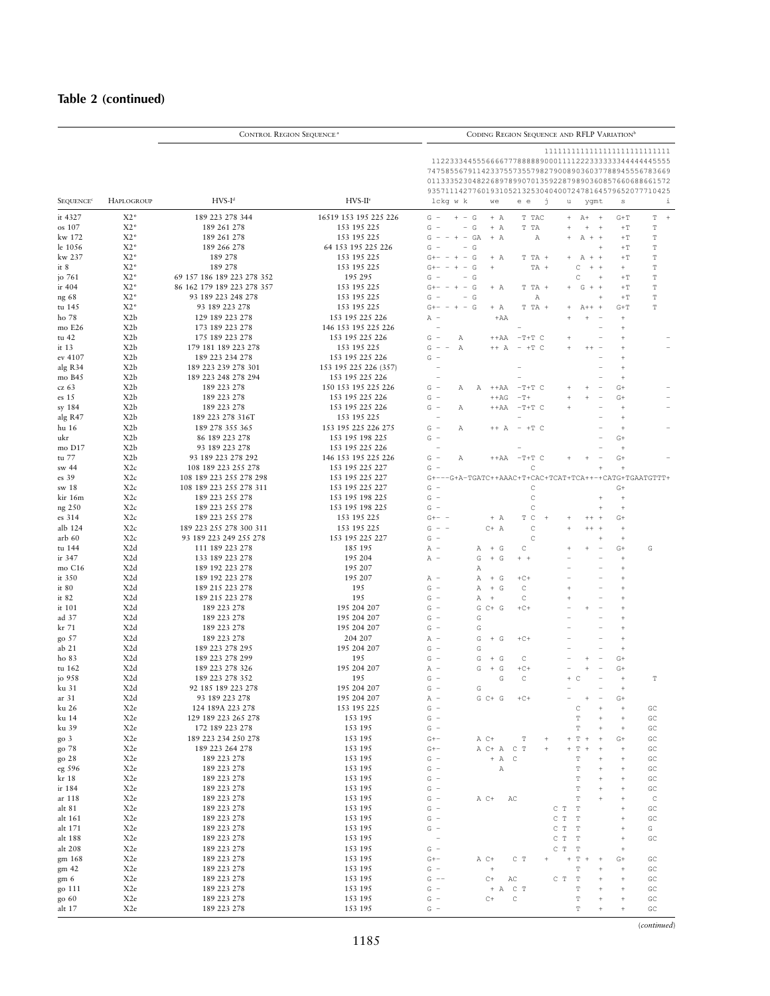# Table 2 (continued)

|                             | <b>CONTROL REGION SEQUENCE<sup>a</sup></b> |                                            | CODING REGION SEQUENCE AND RFLP VARIATION <sup>b</sup> |                                                                                                                                                                                                                                                                                            |  |  |  |  |  |
|-----------------------------|--------------------------------------------|--------------------------------------------|--------------------------------------------------------|--------------------------------------------------------------------------------------------------------------------------------------------------------------------------------------------------------------------------------------------------------------------------------------------|--|--|--|--|--|
|                             |                                            | $HVS-Id$                                   | $HVS-Hc$                                               | 1122333445556666777888889000111122233333334444445555<br>747585567911423375573557982790089036037788945556783669<br>011333523048226897899070135922879890360857660688661572<br>935711142776019310521325304040072478164579652077710425<br>lckg w k<br>j<br>i<br>we<br>e e<br>u<br>$\mathtt{s}$ |  |  |  |  |  |
| <b>SEQUENCE<sup>®</sup></b> | <b>HAPLOGROUP</b>                          |                                            |                                                        | ygmt                                                                                                                                                                                                                                                                                       |  |  |  |  |  |
| it 4327                     | $X2*$                                      | 189 223 278 344                            | 16519 153 195 225 226                                  | $G -$<br>$+ - G$<br>$+ A$<br>T TAC<br>$\ddot{}$<br>$A+$<br>$+$<br>$G+T$<br>T<br>$\,$ + $\,$                                                                                                                                                                                                |  |  |  |  |  |
| os 107<br>kw 172            | $X2*$<br>$X2*$                             | 189 261 278<br>189 261 278                 | 153 195 225<br>153 195 225                             | G<br>$\overline{\phantom{a}}$<br>G<br>$+ A$<br>T TA<br>$^{\mathrm{+}}$<br>$+$<br>$\pm\,{\rm T}$<br>$\mathbf T$<br>$\overline{\phantom{a}}$<br>G<br>$\sim$<br>$- + -$<br>GA<br>$+ A$<br>$\mathbb{A}$<br>$A + +$<br>$\pm\,{\rm T}$<br>$\mathbb T$                                            |  |  |  |  |  |
| le 1056                     | $X2*$                                      | 189 266 278                                | 64 153 195 225 226                                     | G<br>$\sim$<br>G<br>$+T$<br>$\mathbb T$<br>$\overline{1}$                                                                                                                                                                                                                                  |  |  |  |  |  |
| kw 237                      | $X2*$                                      | 189 278                                    | 153 195 225                                            | G<br>$\mathbb T$<br>$\sim$<br>$+ A$<br>$A + +$<br>$\pm\,{\rm T}$<br>$G + -$<br>T TA +<br>$+$                                                                                                                                                                                               |  |  |  |  |  |
| it $8$                      | $X2*$                                      | 189 278                                    | 153 195 225                                            | Ċ<br>$\mathbb T$<br>G<br>$+$ +<br>$G + -$<br>÷<br>$\ddot{}$<br>$\sim$<br>$^{+}$<br>TA +<br>$^{+}$                                                                                                                                                                                          |  |  |  |  |  |
| jo 761                      | $X2*$                                      | 69 157 186 189 223 278 352                 | 195 295                                                | C<br>G<br>G<br>$+T$<br>T<br>$\overline{\phantom{a}}$<br>$\overline{1}$                                                                                                                                                                                                                     |  |  |  |  |  |
| ir 404                      | $X2*$<br>$X2*$                             | 86 162 179 189 223 278 357                 | 153 195 225                                            | $\mathbb T$<br>$\sim$<br>G<br>$T T A +$<br>G<br>$+ +$<br>$\pm\,{\rm T}$<br>$G + -$<br>$+ A$<br>$+$                                                                                                                                                                                         |  |  |  |  |  |
| ng 68<br>tu 145             | $X2*$                                      | 93 189 223 248 278<br>93 189 223 278       | 153 195 225<br>153 195 225                             | $\mathbb T$<br>G<br>$\pm\,{\rm T}$<br>$\overline{\phantom{a}}$<br>G<br>Α<br>$\overline{1}$<br>$\mathbb T$<br>T TA<br>$G+T$<br>$G + -$<br>$\sim$<br>G<br>$+ A$<br>$A++$<br>$+$                                                                                                              |  |  |  |  |  |
| ho 78                       | X <sub>2</sub> b                           | 129 189 223 278                            | 153 195 225 226                                        | A<br>$+AA$<br>$\ddot{}$                                                                                                                                                                                                                                                                    |  |  |  |  |  |
| mo E26                      | X <sub>2</sub> b                           | 173 189 223 278                            | 146 153 195 225 226                                    | $\ddot{}$                                                                                                                                                                                                                                                                                  |  |  |  |  |  |
| tu 42                       | X <sub>2</sub> b                           | 175 189 223 278                            | 153 195 225 226                                        | G<br>÷,<br>Α<br>$^{++AA}$<br>$-T+T$ C<br>$\ddot{}$                                                                                                                                                                                                                                         |  |  |  |  |  |
| it 13                       | X <sub>2</sub> b                           | 179 181 189 223 278                        | 153 195 225                                            | G<br>$\overline{\phantom{a}}$<br>$\mathbb{A}$<br>$++ A$<br>$\overline{\phantom{a}}$<br>$+T$ C<br>$\ddot{}$<br>$++$<br>$\ddot{}$                                                                                                                                                            |  |  |  |  |  |
| ev 4107                     | X <sub>2</sub> b                           | 189 223 234 278                            | 153 195 225 226                                        | G<br>÷,<br>$\ddot{}$                                                                                                                                                                                                                                                                       |  |  |  |  |  |
| alg R34<br>mo B45           | X <sub>2</sub> b<br>X <sub>2</sub> b       | 189 223 239 278 301<br>189 223 248 278 294 | 153 195 225 226 (357)<br>153 195 225 226               | $\ddot{}$<br>$\ddot{+}$                                                                                                                                                                                                                                                                    |  |  |  |  |  |
| cz 63                       | X <sub>2</sub> b                           | 189 223 278                                | 150 153 195 225 226                                    | $G -$<br>$G+$<br>Α<br>Α<br>$++AA$<br>$-T+T$ C                                                                                                                                                                                                                                              |  |  |  |  |  |
| es 15                       | X <sub>2</sub> b                           | 189 223 278                                | 153 195 225 226                                        | $G -$<br>$++AG$<br>$-T+$<br>$G +$                                                                                                                                                                                                                                                          |  |  |  |  |  |
| sy 184                      | X <sub>2</sub> b                           | 189 223 278                                | 153 195 225 226                                        | $G =$<br>$++AA$<br>$-T+T$ C<br>Α<br>$\ddot{}$                                                                                                                                                                                                                                              |  |  |  |  |  |
| alg R47                     | X <sub>2</sub> b                           | 189 223 278 316T                           | 153 195 225                                            | $\overline{a}$<br>÷<br>$\ddot{}$                                                                                                                                                                                                                                                           |  |  |  |  |  |
| hu 16                       | X <sub>2</sub> b                           | 189 278 355 365                            | 153 195 225 226 275                                    | $G -$<br>Α<br>++ A<br>$-$ +T $C$<br>$\ddot{}$                                                                                                                                                                                                                                              |  |  |  |  |  |
| ukr<br>mo D17               | X <sub>2</sub> b<br>X <sub>2</sub> b       | 86 189 223 278<br>93 189 223 278           | 153 195 198 225<br>153 195 225 226                     | G<br>$\overline{\phantom{a}}$<br>$G+$<br>÷,<br>$^{+}$                                                                                                                                                                                                                                      |  |  |  |  |  |
| tu 77                       | X <sub>2</sub> b                           | 93 189 223 278 292                         | 146 153 195 225 226                                    | $G+$<br>$G -$<br>Α<br>$++{\rm AA}$<br>$-T+T$ C                                                                                                                                                                                                                                             |  |  |  |  |  |
| sw 44                       | X2c                                        | 108 189 223 255 278                        | 153 195 225 227                                        | G<br>C<br>$\ddot{+}$                                                                                                                                                                                                                                                                       |  |  |  |  |  |
| es 39                       | X2c                                        | 108 189 223 255 278 298                    | 153 195 225 227                                        | -G+A-TGATC++AAAC+T+CAC+TCAT+TCA++-+CATG+TGAATGTTT+<br>$G + -$                                                                                                                                                                                                                              |  |  |  |  |  |
| sw 18                       | X2c                                        | 108 189 223 255 278 311                    | 153 195 225 227                                        | G<br>C<br>$G+$                                                                                                                                                                                                                                                                             |  |  |  |  |  |
| kir 16m                     | X2c                                        | 189 223 255 278                            | 153 195 198 225                                        | $\mathbb C$<br>G<br>Ĭ.<br>$\; +$<br>$\ddot{+}$<br>$\sim$                                                                                                                                                                                                                                   |  |  |  |  |  |
| ng 250<br>es 314            | X2c<br>X <sub>2c</sub>                     | 189 223 255 278<br>189 223 255 278         | 153 195 198 225<br>153 195 225                         | $\mathsf{C}$<br>G<br>$\! + \!\!\!\!$<br>T C<br>$G + -$<br>$+ A$<br>$G+$<br>$++$<br>$\overline{1}$                                                                                                                                                                                          |  |  |  |  |  |
| alb 124                     | X2c                                        | 189 223 255 278 300 311                    | 153 195 225                                            | $\mathbb C$<br>G<br>$C+$ A<br>$+ +$<br>$\overline{+}$<br>$^{+}$                                                                                                                                                                                                                            |  |  |  |  |  |
| arb 60                      | X2c                                        | 93 189 223 249 255 278                     | 153 195 225 227                                        | $\mathbb C$<br>G<br>$\ddot{}$<br>$\sim$                                                                                                                                                                                                                                                    |  |  |  |  |  |
| tu 144                      | X <sub>2</sub> d                           | 111 189 223 278                            | 185 195                                                | $A -$<br>$+ G$<br>C<br>$G +$<br>G<br>Α                                                                                                                                                                                                                                                     |  |  |  |  |  |
| ir 347                      | X <sub>2</sub> d                           | 133 189 223 278                            | 195 204                                                | G<br>$A -$<br>$+ G$<br>$+$ +<br>$\ddot{}$                                                                                                                                                                                                                                                  |  |  |  |  |  |
| mo C16<br>it 350            | X <sub>2</sub> d<br>X <sub>2</sub> d       | 189 192 223 278<br>189 192 223 278         | 195 207<br>195 207                                     | Α<br>$\ddot{}$<br>$+ G$<br>$+C+$<br>$\ddot{}$                                                                                                                                                                                                                                              |  |  |  |  |  |
| it $80$                     | X <sub>2</sub> d                           | 189 215 223 278                            | 195                                                    | $A -$<br>Α<br>G<br>$\overline{\phantom{a}}$<br>Α<br>$+ G$<br>$\mathbb C$                                                                                                                                                                                                                   |  |  |  |  |  |
| it $82$                     | X <sub>2</sub> d                           | 189 215 223 278                            | 195                                                    | G<br>$\overline{\phantom{a}}$<br>Α<br>$\,$ + $\,$<br>C<br>$\ddot{}$                                                                                                                                                                                                                        |  |  |  |  |  |
| it 101                      | X <sub>2</sub> d                           | 189 223 278                                | 195 204 207                                            | G<br>$G$ $C+$ $G$<br>$+C+$<br>$\sim$                                                                                                                                                                                                                                                       |  |  |  |  |  |
| ad 37                       | X <sub>2</sub> d                           | 189 223 278                                | 195 204 207                                            | G<br>G<br>$\overline{\phantom{a}}$                                                                                                                                                                                                                                                         |  |  |  |  |  |
| kr 71                       | X <sub>2</sub> d                           | 189 223 278                                | 195 204 207                                            | G<br>G<br>$\overline{\phantom{a}}$                                                                                                                                                                                                                                                         |  |  |  |  |  |
| go 57<br>ab <sub>21</sub>   | X <sub>2</sub> d<br>X <sub>2</sub> d       | 189 223 278<br>189 223 278 295             | 204 207<br>195 204 207                                 | G<br>$+C+$<br>$A -$<br>$+$<br>G<br>$\ddot{}$<br>G<br>G<br>$\overline{\phantom{a}}$<br>$\ddot{}$                                                                                                                                                                                            |  |  |  |  |  |
| ho 83                       | X <sub>2</sub> d                           | 189 223 278 299                            | 195                                                    | G<br>$\overline{\phantom{a}}$<br>G<br>$+ G$<br>C<br>$G +$                                                                                                                                                                                                                                  |  |  |  |  |  |
| tu 162                      | X <sub>2</sub> d                           | 189 223 278 326                            | 195 204 207                                            | $+C+$<br>$A -$<br>G<br>$+$<br>G<br>$G +$                                                                                                                                                                                                                                                   |  |  |  |  |  |
| jo 958                      | X <sub>2</sub> d                           | 189 223 278 352                            | 195                                                    | G<br>G<br>$\mathbb C$<br>$\mathbb T$<br>$\sim$<br>$\ddot{}$<br>C<br>$\! + \!\!\!\!$                                                                                                                                                                                                        |  |  |  |  |  |
| ku 31                       | X <sub>2</sub> d                           | 92 185 189 223 278                         | 195 204 207                                            | $G -$<br>G<br>$\ddot{}$                                                                                                                                                                                                                                                                    |  |  |  |  |  |
| ar 31                       | X <sub>2</sub> d                           | 93 189 223 278                             | 195 204 207                                            | $A -$<br>$G$ $C+$ $G$<br>$+C+$<br>$G+$<br>$\ddot{}$                                                                                                                                                                                                                                        |  |  |  |  |  |
| ku 26<br>ku 14              | X <sub>2e</sub><br>X <sub>2</sub> e        | 124 189A 223 278<br>129 189 223 265 278    | 153 195 225<br>153 195                                 | $G -$<br>$\mathsf{C}$<br>$^+$<br>GC<br>$\ddot{\phantom{1}}$<br>$G -$<br>T<br>$^+$<br>GC<br>$\ddot{+}$                                                                                                                                                                                      |  |  |  |  |  |
| ku 39                       | X <sub>2</sub> e                           | 172 189 223 278                            | 153 195                                                | $G -$<br>$\mathbb T$<br>$\ddot{+}$<br>$^+$<br>$\mathsf{GC}$                                                                                                                                                                                                                                |  |  |  |  |  |
| $g_0$ 3                     | X <sub>2</sub> e                           | 189 223 234 250 278                        | 153 195                                                | $\mathbb T$<br>$G + -$<br>A C+<br>T<br>$G+$<br>GC<br>$\overline{+}$<br>$^{+}$<br>$\ddot{}$                                                                                                                                                                                                 |  |  |  |  |  |
| go 78                       | X <sub>2</sub> e                           | 189 223 264 278                            | 153 195                                                | $G + -$<br>A C+ A<br>$C$ T<br>$\mathbb T$<br>GC<br>$\ddot{}$<br>$\overline{1}$                                                                                                                                                                                                             |  |  |  |  |  |
| go 28                       | X <sub>2</sub> e                           | 189 223 278                                | 153 195                                                | $+ A$<br>$\mathop{\rm \,c}\nolimits$<br>$\mathbb T$<br>$G -$<br>$\ddot{+}$<br>$^+$<br>$\mathsf{GC}$                                                                                                                                                                                        |  |  |  |  |  |
| eg 596                      | X <sub>2</sub> e                           | 189 223 278                                | 153 195                                                | $G -$<br>$\mathbb T$<br>Α<br>$\ddot{\phantom{1}}$<br>$^+$<br>GC                                                                                                                                                                                                                            |  |  |  |  |  |
| kr 18<br>ir 184             | X <sub>2</sub> e<br>X <sub>2</sub> e       | 189 223 278<br>189 223 278                 | 153 195<br>153 195                                     | $G -$<br>$\mathbb T$<br>GC<br>$\ddot{\phantom{1}}$<br>$\begin{array}{c} + \end{array}$<br>$G -$<br>$\mathbb T$<br>$\ddot{}$<br>$^+$<br>$\mathsf{GC}$                                                                                                                                       |  |  |  |  |  |
| ar 118                      | X <sub>2</sub> e                           | 189 223 278                                | 153 195                                                | $G -$<br>$\mathbb T$<br>$\mathbb C$<br>A C+<br>$\ddot{}$<br>AC<br>$\ddot{}$                                                                                                                                                                                                                |  |  |  |  |  |
| alt 81                      | X <sub>2e</sub>                            | 189 223 278                                | 153 195                                                | $G -$<br>$\mathbb T$<br>$\mathsf{GC}$<br>СТ<br>$\ddot{}$                                                                                                                                                                                                                                   |  |  |  |  |  |
| alt 161                     | X <sub>2</sub> e                           | 189 223 278                                | 153 195                                                | $G -$<br>$\begin{matrix} C & T \end{matrix}$<br>$\mathbb T$<br>$\mathsf{GC}$<br>$\begin{array}{c} + \end{array}$                                                                                                                                                                           |  |  |  |  |  |
| alt 171                     | X <sub>2</sub> e                           | 189 223 278                                | 153 195                                                | $G -$<br>$\mathbb C$ T<br>$\mathbb T$<br>$\mathbb{G}$<br>$\ddot{}$                                                                                                                                                                                                                         |  |  |  |  |  |
| alt 188                     | X <sub>2</sub> e                           | 189 223 278                                | 153 195                                                | $\mathbb T$<br>$C$ T<br>$\overline{\phantom{a}}$<br>GC<br>$\begin{array}{c} + \end{array}$                                                                                                                                                                                                 |  |  |  |  |  |
| alt 208<br>gm 168           | X <sub>2</sub> e<br>X <sub>2</sub> e       | 189 223 278<br>189 223 278                 | 153 195<br>153 195                                     | $G -$<br>С<br>$\mathbb T$<br>$\mathbb T$<br>$^+$<br>$\mathbb T$<br>$G + -$<br>A C+<br>C T<br>$G+$<br>$\mathsf{GC}$<br>$\begin{array}{c} + \end{array}$<br>$\overline{+}$<br>$\overline{1}$                                                                                                 |  |  |  |  |  |
| gm 42                       | X <sub>2</sub> e                           | 189 223 278                                | 153 195                                                | $G -$<br>T<br>$+$<br>$^+$<br>GC                                                                                                                                                                                                                                                            |  |  |  |  |  |
| gm <sub>6</sub>             | X <sub>2</sub> e                           | 189 223 278                                | 153 195                                                | G<br>$\mathbb T$<br>$\sim$ $-$<br>$C +$<br>${\tt AC}$<br>$\mathbb{C}$ T<br>$^+$<br>GC<br>$\ddot{}$                                                                                                                                                                                         |  |  |  |  |  |
| go 111                      | X <sub>2</sub> e                           | 189 223 278                                | 153 195                                                | G<br>$\mathbb T$<br>$+$ A<br>$C$ T<br>$\ddot{}$<br>$\mathsf{GC}$<br>$\overline{\phantom{a}}$                                                                                                                                                                                               |  |  |  |  |  |
| go 60                       | X <sub>2</sub> e                           | 189 223 278                                | 153 195                                                | $\mathbb T$<br>$G -$<br>$C +$<br>С<br>GC<br>$\ddot{}$                                                                                                                                                                                                                                      |  |  |  |  |  |
| alt 17                      | X <sub>2e</sub>                            | 189 223 278                                | 153 195                                                | $\mathbb T$<br>$\mathsf{GC}$<br>$G -$<br>$\ddot{+}$                                                                                                                                                                                                                                        |  |  |  |  |  |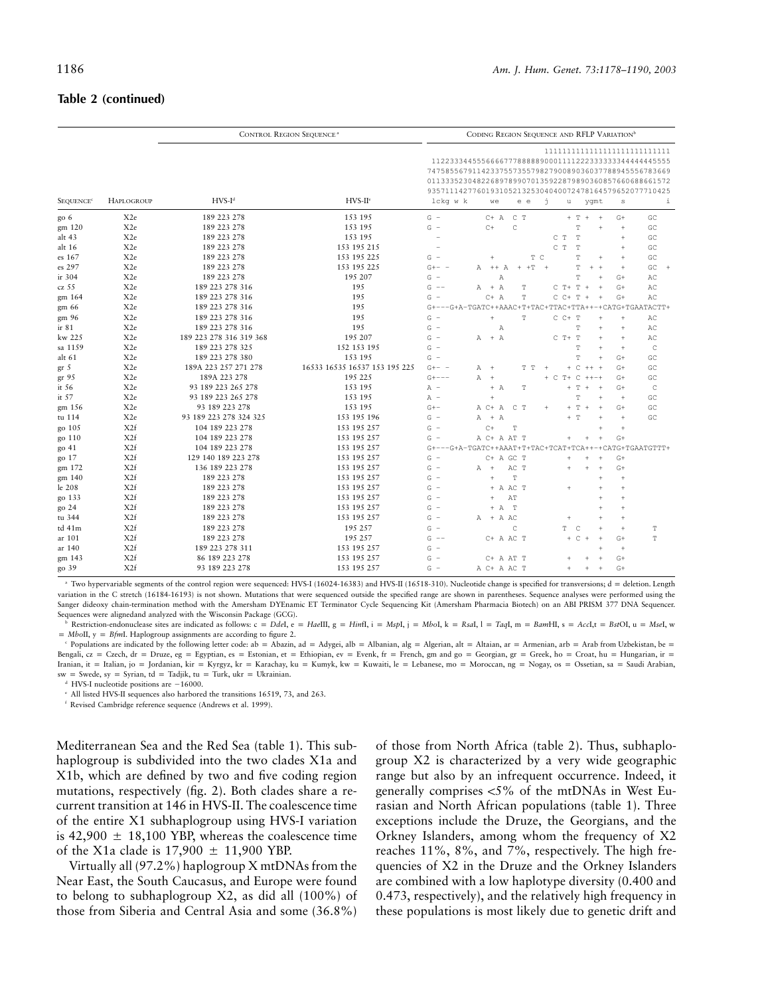#### **Table 2 (continued)**

|                             |                   | <b>CONTROL REGION SEQUENCE<sup>a</sup></b> |                               | CODING REGION SEQUENCE AND RFLP VARIATION <sup>b</sup> |                                                                                                                                                                                                                                     |             |                |                               |                 |                 |                      |
|-----------------------------|-------------------|--------------------------------------------|-------------------------------|--------------------------------------------------------|-------------------------------------------------------------------------------------------------------------------------------------------------------------------------------------------------------------------------------------|-------------|----------------|-------------------------------|-----------------|-----------------|----------------------|
| <b>SEQUENCE<sup>®</sup></b> | <b>HAPLOGROUP</b> | $HVS-Id$                                   | $HVS-Hc$                      | lckg w k                                               | 1122333445556666777888889000111122233333334444445555<br>7475855679114233755735579827900890360377889455567<br>011333523048226897899070135922879890360857660688661572<br>935711142776019310521325304040072478164579652077710425<br>we | e e         | ń<br>u         |                               | ygmt            | $\mathbbmss{S}$ | $\dot{1}$            |
| go 6                        | X <sub>2e</sub>   | 189 223 278                                | 153 195                       | $G -$                                                  | $C+$ A                                                                                                                                                                                                                              | $C$ T       |                | $+$ T<br>$+$                  | $\ddot{+}$      | $G+$            | GC                   |
| gm 120                      | X <sub>2e</sub>   | 189 223 278                                | 153 195                       | G<br>$\hspace{0.1mm}-\hspace{0.1mm}$                   | $C +$                                                                                                                                                                                                                               | C           |                | T                             |                 | $\ddot{}$       | GC                   |
| alt 43                      | X <sub>2e</sub>   | 189 223 278                                | 153 195                       |                                                        |                                                                                                                                                                                                                                     |             | C<br>T         | $\mathbb T$                   |                 | $\ddot{}$       | GC                   |
| alt 16                      | X <sub>2e</sub>   | 189 223 278                                | 153 195 215                   |                                                        |                                                                                                                                                                                                                                     |             | C<br>T         | $\mathbb T$                   |                 | $\ddot{}$       | GC                   |
| es 167                      | X <sub>2e</sub>   | 189 223 278                                | 153 195 225                   | G<br>$\overline{\phantom{a}}$                          |                                                                                                                                                                                                                                     |             | T C            | T                             | $\ddot{+}$      | $\ddot{}$       | GC                   |
| es 297                      | X <sub>2e</sub>   | 189 223 278                                | 153 195 225                   | $G+- -$                                                | $^{++}$<br>$\mathbb{A}$<br>Α                                                                                                                                                                                                        | $+T$<br>$+$ | $\overline{+}$ | T                             | $+$<br>$+$      | $+$             | GC<br>$\overline{+}$ |
| ir 304                      | X <sub>2e</sub>   | 189 223 278                                | 195 207                       | G                                                      | $\mathbb{A}$                                                                                                                                                                                                                        |             |                | T                             |                 | $G+$            | AC                   |
| cz 55                       | X <sub>2e</sub>   | 189 223 278 316                            | 195                           | G<br>$\hspace{0.1em} -\hspace{0.1em} -\hspace{0.1em}$  | $A + A$                                                                                                                                                                                                                             | T           | $C T+$         | $\mathbb T$                   | $+$<br>$+$      | $G+$            | AC                   |
| gm 164                      | X <sub>2e</sub>   | 189 223 278 316                            | 195                           | G<br>$\sim$                                            | $C+$ A                                                                                                                                                                                                                              | T           | $C$ $C+$       | $\mathbb T$<br>$\pm$          | $\ddot{}$       | $G+$            | AC                   |
| gm 66                       | X <sub>2</sub> e  | 189 223 278 316                            | 195                           |                                                        | $G+---G+A-TGATC++AAAC+T+TAC+TTAC+TTA++$                                                                                                                                                                                             |             |                |                               |                 |                 | -+CATG+TGAATACTT+    |
| gm 96                       | X <sub>2e</sub>   | 189 223 278 316                            | 195                           | G<br>$\overline{\phantom{a}}$                          | $\pm$                                                                                                                                                                                                                               | T           | $C$ $C+$ T     |                               |                 | $\ddot{+}$      | AC                   |
| ir 81                       | X <sub>2e</sub>   | 189 223 278 316                            | 195                           | G<br>$\overline{\phantom{a}}$                          | $\mathbb{A}$                                                                                                                                                                                                                        |             |                | T                             | $\ddot{}$       | $\! +$          | AC                   |
| kw 225                      | X <sub>2e</sub>   | 189 223 278 316 319 368                    | 195 207                       | G<br>$\hspace{0.1mm}-\hspace{0.1mm}$                   | $A + A$                                                                                                                                                                                                                             |             | $C$ T+ T       |                               | $+$             | $+$             | AC                   |
| sa 1159                     | X <sub>2e</sub>   | 189 223 278 325                            | 152 153 195                   | G<br>$\sim$                                            |                                                                                                                                                                                                                                     |             |                | T                             | $\ddot{+}$      | $+$             | $\mathbb{C}$         |
| alt 61                      | X <sub>2e</sub>   | 189 223 278 380                            | 153 195                       | G<br>$\sim$                                            |                                                                                                                                                                                                                                     |             |                | T                             | $+$             | $G+$            | GC                   |
| gr <sub>5</sub>             | X <sub>2e</sub>   | 189A 223 257 271 278                       | 16533 16535 16537 153 195 225 | $G + -$                                                | A<br>$+$                                                                                                                                                                                                                            | Т<br>T      | $+$            | C                             | $++ +$          | $G+$            | GC                   |
| gr 95                       | X <sub>2e</sub>   | 189A 223 278                               | 195 225                       | $G + - - -$                                            | $\mathbb{A}$<br>$\ddot{}$                                                                                                                                                                                                           |             | C<br>$T+$      | $\mathsf{C}$                  | $++++$          | $G+$            | GC                   |
| it 56                       | X <sub>2e</sub>   | 93 189 223 265 278                         | 153 195                       | $A -$                                                  | $+ A$                                                                                                                                                                                                                               | T           |                | T<br>$+$                      | $+$             | $G+$            | $\mathsf{C}$         |
| it $57$                     | X <sub>2e</sub>   | 93 189 223 265 278                         | 153 195                       | $A -$                                                  | Ŧ.                                                                                                                                                                                                                                  |             |                | T                             | $\ddot{+}$      | $\ddot{+}$      | GC                   |
| gm 156                      | X <sub>2e</sub>   | 93 189 223 278                             | 153 195                       | $G + -$                                                | A C+ A                                                                                                                                                                                                                              | C T         |                | T<br>$\, +$<br>$\overline{+}$ | $+$             | $G+$            | GC                   |
| tu 114                      | X <sub>2e</sub>   | 93 189 223 278 324 325                     | 153 195 196                   | $G -$                                                  | $+ A$<br>Α                                                                                                                                                                                                                          |             |                | $\mathbb{T}$<br>$+$           | $\ddot{+}$      | $\ddot{+}$      | GC                   |
| go 105                      | X <sub>2f</sub>   | 104 189 223 278                            | 153 195 257                   | $G -$                                                  | $C +$                                                                                                                                                                                                                               | Ŧ           |                |                               | $+$             | $\ddot{+}$      |                      |
| go 110                      | X <sub>2f</sub>   | 104 189 223 278                            | 153 195 257                   | G<br>$\overline{\phantom{m}}$                          | A C+ A AT T                                                                                                                                                                                                                         |             |                |                               | $\ddot{}$       | $G+$            |                      |
| go 41                       | X <sub>2f</sub>   | 104 189 223 278                            | 153 195 257                   |                                                        | G+---G+A-TGATC++AAAT+T+TAC+TCAT+TCA++                                                                                                                                                                                               |             |                |                               |                 |                 | -+CATG+TGAATGTTT+    |
| go 17                       | X <sub>2f</sub>   | 129 140 189 223 278                        | 153 195 257                   | G                                                      | C+ A GC T                                                                                                                                                                                                                           |             | $\ddot{}$      |                               | $+$             | $G+$            |                      |
| gm 172                      | X <sub>2f</sub>   | 136 189 223 278                            | 153 195 257                   | G<br>$\overline{\phantom{a}}$                          | $\mathbb{A}$<br>$+$                                                                                                                                                                                                                 | AC T        | $^{+}$         |                               | $+$             | $G +$           |                      |
| gm 140                      | X <sub>2f</sub>   | 189 223 278                                | 153 195 257                   | G<br>$\sim$                                            | $+$                                                                                                                                                                                                                                 | Ŧ           |                |                               | $\ddot{+}$      | $\ddot{}$       |                      |
| le 208                      | X <sub>2f</sub>   | 189 223 278                                | 153 195 257                   | G<br>$\overline{\phantom{a}}$                          | + A AC T                                                                                                                                                                                                                            |             | $+$            |                               | $\ddot{}$       | $\ddot{}$       |                      |
| go 133                      | X <sub>2f</sub>   | 189 223 278                                | 153 195 257                   | G<br>$\sim$                                            | $\ddot{}$                                                                                                                                                                                                                           | AT          |                |                               |                 | $\overline{+}$  |                      |
| go 24                       | X <sub>2f</sub>   | 189 223 278                                | 153 195 257                   | G<br>$\overline{\phantom{a}}$                          | $+ A$                                                                                                                                                                                                                               | T           |                |                               | $\ddot{+}$      | $\ddot{}$       |                      |
| tu 344                      | X <sub>2f</sub>   | 189 223 278                                | 153 195 257                   | G<br>$\overline{\phantom{a}}$                          | + A AC<br>Α                                                                                                                                                                                                                         |             | $\overline{+}$ |                               | $+$             | $\ddot{+}$      |                      |
| td 41m                      | X <sub>2f</sub>   | 189 223 278                                | 195 257                       | G<br>$\overline{a}$                                    |                                                                                                                                                                                                                                     | C           | T              | $\mathsf{C}$                  | $\ddot{+}$      | $\ddot{}$       | $\mathbb T$          |
| ar 101                      | X <sub>2f</sub>   | 189 223 278                                | 195 257                       | G<br>$\sim$ $-$                                        | C+ A AC T                                                                                                                                                                                                                           |             |                | $+ C$                         | $+$<br>$+$      | $G+$            | T                    |
| ar 140                      | X <sub>2f</sub>   | 189 223 278 311                            | 153 195 257                   | G                                                      |                                                                                                                                                                                                                                     |             |                |                               | $\ddot{+}$      | $\ddot{}$       |                      |
| gm 143                      | X <sub>2f</sub>   | 86 189 223 278                             | 153 195 257                   | G<br>$\overline{\phantom{a}}$                          | C+ A AT T                                                                                                                                                                                                                           |             |                |                               |                 | $G+$            |                      |
| go 39                       | X <sub>2f</sub>   | 93 189 223 278                             | 153 195 257                   | $G -$                                                  | A C+ A AC T                                                                                                                                                                                                                         |             | $\overline{+}$ |                               | $\! + \!\!\!\!$ | $G+$            |                      |

<sup>a</sup> Two hypervariable segments of the control region were sequenced: HVS-I (16024-16383) and HVS-II (16518-310). Nucleotide change is specified for transversions; d = deletion. Length variation in the C stretch (16184-16193) is not shown. Mutations that were sequenced outside the specified range are shown in parentheses. Sequence analyses were performed using the Sanger dideoxy chain-termination method with the Amersham DYEnamic ET Terminator Cycle Sequencing Kit (Amersham Pharmacia Biotech) on an ABI PRISM 377 DNA Sequencer. Sequences were alignedand analyzed with the Wisconsin Package (GCG).

Restriction-endonuclease sites are indicated as follows: c = Ddel, e = HaelII, g = HinfI, i = MspI, j = MboI, k = RsaI, l = TaqI, m = BamHI, s = AccI,t = BstOI, u = MseI, w  $= MboII$ ,  $y = Bfml$ . Haplogroup assignments are according to figure 2.

Populations are indicated by the following letter code: ab = Abazin, ad = Adygei, alb = Albanian, alg = Algerian, alt = Altaian, ar = Armenian, arb = Arab from Uzbekistan, be = Bengali,  $cz = Czech$ , dr = Druze, eg = Egyptian, es = Estonian, et = Ethiopian, ev = Evenk, fr = French, gm and go = Georgian, gr = Greek, ho = Croat, hu = Hungarian, ir = Iranian, it = Italian, jo = Jordanian, kir = Kyrgyz, kr = Karachay, ku = Kumyk, kw = Kuwaiti, le = Lebanese, mo = Moroccan, ng = Nogay, os = Ossetian, sa = Saudi Arabian,  $sw =$  Swede, sy = Syrian, td = Tadjik, tu = Turk, ukr = Ukrainian.

HVS-I nucleotide positions are  $-16000$ .

<sup>e</sup> All listed HVS-II sequences also harbored the transitions 16519, 73, and 263.

<sup>f</sup> Revised Cambridge reference sequence (Andrews et al. 1999).

Mediterranean Sea and the Red Sea (table 1). This subhaplogroup is subdivided into the two clades X1a and X1b, which are defined by two and five coding region mutations, respectively (fig. 2). Both clades share a recurrent transition at 146 in HVS-II. The coalescence time of the entire X1 subhaplogroup using HVS-I variation is 42,900  $\pm$  18,100 YBP, whereas the coalescence time of the X1a clade is  $17,900 \pm 11,900$  YBP.

Virtually all (97.2%) haplogroup X mtDNAs from the Near East, the South Caucasus, and Europe were found to belong to subhaplogroup X2, as did all (100%) of those from Siberia and Central Asia and some (36.8%)

of those from North Africa (table 2). Thus, subhaplogroup X2 is characterized by a very wide geographic range but also by an infrequent occurrence. Indeed, it generally comprises  $\langle 5\%$  of the mtDNAs in West Eurasian and North African populations (table 1). Three exceptions include the Druze, the Georgians, and the Orkney Islanders, among whom the frequency of X2 reaches 11%, 8%, and 7%, respectively. The high frequencies of X2 in the Druze and the Orkney Islanders are combined with a low haplotype diversity (0.400 and 0.473, respectively), and the relatively high frequency in these populations is most likely due to genetic drift and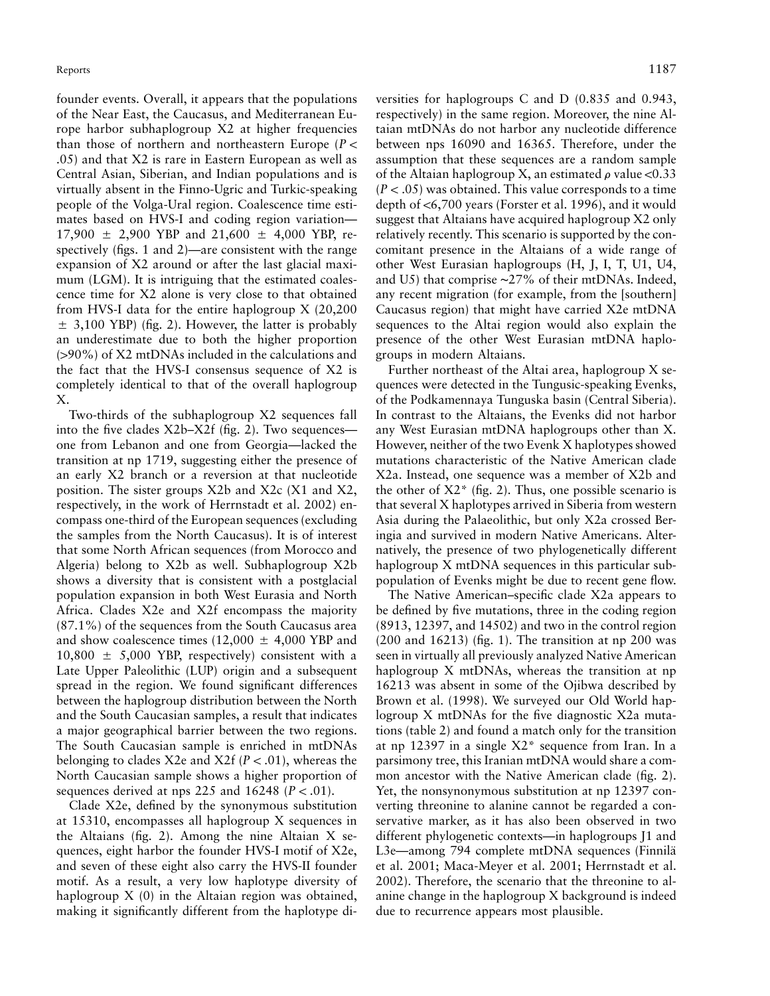founder events. Overall, it appears that the populations of the Near East, the Caucasus, and Mediterranean Europe harbor subhaplogroup X2 at higher frequencies than those of northern and northeastern Europe ( $P$  < .05) and that X2 is rare in Eastern European as well as Central Asian, Siberian, and Indian populations and is virtually absent in the Finno-Ugric and Turkic-speaking people of the Volga-Ural region. Coalescence time estimates based on HVS-I and coding region variation—  $17,900 \pm 2,900$  YBP and  $21,600 \pm 4,000$  YBP, respectively (figs. 1 and 2)—are consistent with the range expansion of X2 around or after the last glacial maximum (LGM). It is intriguing that the estimated coalescence time for X2 alone is very close to that obtained from HVS-I data for the entire haplogroup X (20,200  $\pm$  3,100 YBP) (fig. 2). However, the latter is probably an underestimate due to both the higher proportion  $(>90\%)$  of X2 mtDNAs included in the calculations and the fact that the HVS-I consensus sequence of X2 is completely identical to that of the overall haplogroup X.

Two-thirds of the subhaplogroup X2 sequences fall into the five clades X2b–X2f (fig. 2). Two sequences one from Lebanon and one from Georgia—lacked the transition at np 1719, suggesting either the presence of an early X2 branch or a reversion at that nucleotide position. The sister groups X2b and X2c (X1 and X2, respectively, in the work of Herrnstadt et al. 2002) encompass one-third of the European sequences (excluding the samples from the North Caucasus). It is of interest that some North African sequences (from Morocco and Algeria) belong to X2b as well. Subhaplogroup X2b shows a diversity that is consistent with a postglacial population expansion in both West Eurasia and North Africa. Clades X2e and X2f encompass the majority (87.1%) of the sequences from the South Caucasus area and show coalescence times (12,000  $\pm$  4,000 YBP and  $10,800 \pm 5,000$  YBP, respectively) consistent with a Late Upper Paleolithic (LUP) origin and a subsequent spread in the region. We found significant differences between the haplogroup distribution between the North and the South Caucasian samples, a result that indicates a major geographical barrier between the two regions. The South Caucasian sample is enriched in mtDNAs belonging to clades  $X2e$  and  $X2f$  ( $P < .01$ ), whereas the North Caucasian sample shows a higher proportion of sequences derived at nps 225 and  $16248$  ( $P < .01$ ).

Clade X2e, defined by the synonymous substitution at 15310, encompasses all haplogroup X sequences in the Altaians (fig. 2). Among the nine Altaian X sequences, eight harbor the founder HVS-I motif of X2e, and seven of these eight also carry the HVS-II founder motif. As a result, a very low haplotype diversity of haplogroup X (0) in the Altaian region was obtained, making it significantly different from the haplotype di-

versities for haplogroups C and D (0.835 and 0.943, respectively) in the same region. Moreover, the nine Altaian mtDNAs do not harbor any nucleotide difference between nps 16090 and 16365. Therefore, under the assumption that these sequences are a random sample of the Altaian haplogroup X, an estimated  $\rho$  value <0.33  $(P < .05)$  was obtained. This value corresponds to a time depth of  $\lt6,700$  years (Forster et al. 1996), and it would suggest that Altaians have acquired haplogroup X2 only relatively recently. This scenario is supported by the concomitant presence in the Altaians of a wide range of other West Eurasian haplogroups (H, J, I, T, U1, U4, and U5) that comprise ∼27% of their mtDNAs. Indeed, any recent migration (for example, from the [southern] Caucasus region) that might have carried X2e mtDNA sequences to the Altai region would also explain the presence of the other West Eurasian mtDNA haplogroups in modern Altaians.

Further northeast of the Altai area, haplogroup X sequences were detected in the Tungusic-speaking Evenks, of the Podkamennaya Tunguska basin (Central Siberia). In contrast to the Altaians, the Evenks did not harbor any West Eurasian mtDNA haplogroups other than X. However, neither of the two Evenk X haplotypes showed mutations characteristic of the Native American clade X2a. Instead, one sequence was a member of X2b and the other of  $X2^*$  (fig. 2). Thus, one possible scenario is that several X haplotypes arrived in Siberia from western Asia during the Palaeolithic, but only X2a crossed Beringia and survived in modern Native Americans. Alternatively, the presence of two phylogenetically different haplogroup X mtDNA sequences in this particular subpopulation of Evenks might be due to recent gene flow.

The Native American–specific clade X2a appears to be defined by five mutations, three in the coding region (8913, 12397, and 14502) and two in the control region  $(200 \text{ and } 16213)$  (fig. 1). The transition at np 200 was seen in virtually all previously analyzed Native American haplogroup X mtDNAs, whereas the transition at np 16213 was absent in some of the Ojibwa described by Brown et al. (1998). We surveyed our Old World haplogroup X mtDNAs for the five diagnostic X2a mutations (table 2) and found a match only for the transition at np 12397 in a single X2\* sequence from Iran. In a parsimony tree, this Iranian mtDNA would share a common ancestor with the Native American clade (fig. 2). Yet, the nonsynonymous substitution at np 12397 converting threonine to alanine cannot be regarded a conservative marker, as it has also been observed in two different phylogenetic contexts—in haplogroups J1 and L3e—among 794 complete mtDNA sequences (Finnilä et al. 2001; Maca-Meyer et al. 2001; Herrnstadt et al. 2002). Therefore, the scenario that the threonine to alanine change in the haplogroup X background is indeed due to recurrence appears most plausible.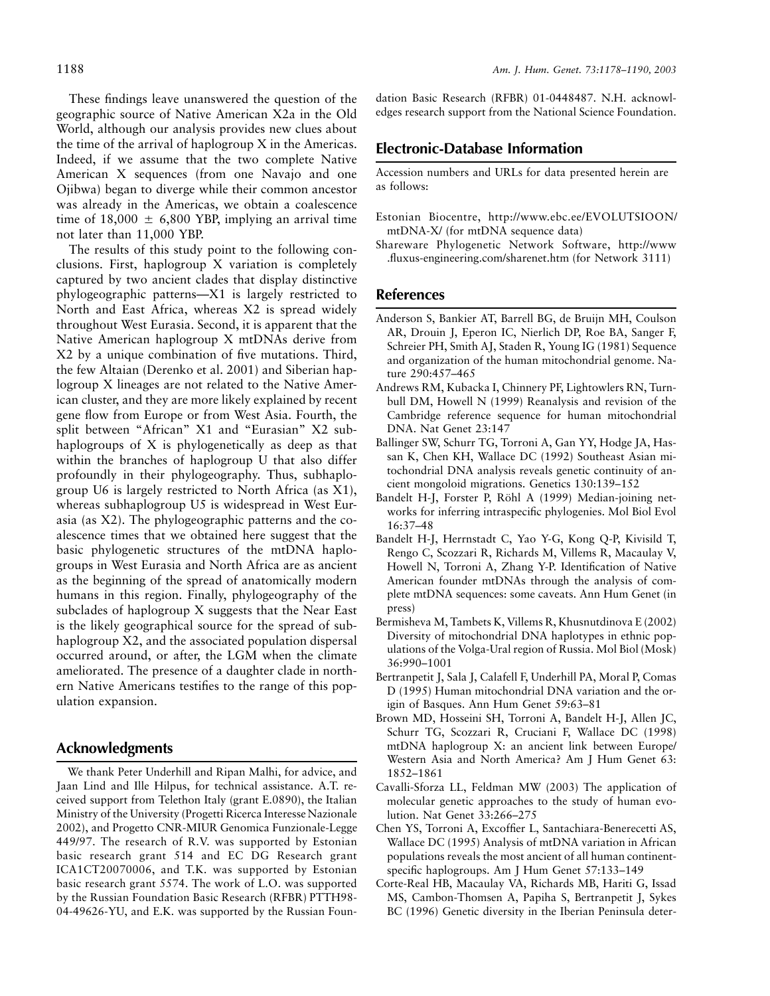These findings leave unanswered the question of the geographic source of Native American X2a in the Old World, although our analysis provides new clues about the time of the arrival of haplogroup X in the Americas. Indeed, if we assume that the two complete Native American X sequences (from one Navajo and one Ojibwa) began to diverge while their common ancestor was already in the Americas, we obtain a coalescence time of 18,000  $\pm$  6,800 YBP, implying an arrival time not later than 11,000 YBP.

The results of this study point to the following conclusions. First, haplogroup X variation is completely captured by two ancient clades that display distinctive phylogeographic patterns—X1 is largely restricted to North and East Africa, whereas X2 is spread widely throughout West Eurasia. Second, it is apparent that the Native American haplogroup X mtDNAs derive from X2 by a unique combination of five mutations. Third, the few Altaian (Derenko et al. 2001) and Siberian haplogroup X lineages are not related to the Native American cluster, and they are more likely explained by recent gene flow from Europe or from West Asia. Fourth, the split between "African" X1 and "Eurasian" X2 subhaplogroups of X is phylogenetically as deep as that within the branches of haplogroup U that also differ profoundly in their phylogeography. Thus, subhaplogroup U6 is largely restricted to North Africa (as X1), whereas subhaplogroup U5 is widespread in West Eurasia (as X2). The phylogeographic patterns and the coalescence times that we obtained here suggest that the basic phylogenetic structures of the mtDNA haplogroups in West Eurasia and North Africa are as ancient as the beginning of the spread of anatomically modern humans in this region. Finally, phylogeography of the subclades of haplogroup X suggests that the Near East is the likely geographical source for the spread of subhaplogroup X2, and the associated population dispersal occurred around, or after, the LGM when the climate ameliorated. The presence of a daughter clade in northern Native Americans testifies to the range of this population expansion.

### **Acknowledgments**

We thank Peter Underhill and Ripan Malhi, for advice, and Jaan Lind and Ille Hilpus, for technical assistance. A.T. received support from Telethon Italy (grant E.0890), the Italian Ministry of the University (Progetti Ricerca Interesse Nazionale 2002), and Progetto CNR-MIUR Genomica Funzionale-Legge 449/97. The research of R.V. was supported by Estonian basic research grant 514 and EC DG Research grant ICA1CT20070006, and T.K. was supported by Estonian basic research grant 5574. The work of L.O. was supported by the Russian Foundation Basic Research (RFBR) PTTH98- 04-49626-YU, and E.K. was supported by the Russian Foun-

dation Basic Research (RFBR) 01-0448487. N.H. acknowledges research support from the National Science Foundation.

#### **Electronic-Database Information**

Accession numbers and URLs for data presented herein are as follows:

- Estonian Biocentre, http://www.ebc.ee/EVOLUTSIOON/ mtDNA-X/ (for mtDNA sequence data)
- Shareware Phylogenetic Network Software, http://www .fluxus-engineering.com/sharenet.htm (for Network 3111)

#### **References**

- Anderson S, Bankier AT, Barrell BG, de Bruijn MH, Coulson AR, Drouin J, Eperon IC, Nierlich DP, Roe BA, Sanger F, Schreier PH, Smith AJ, Staden R, Young IG (1981) Sequence and organization of the human mitochondrial genome. Nature 290:457–465
- Andrews RM, Kubacka I, Chinnery PF, Lightowlers RN, Turnbull DM, Howell N (1999) Reanalysis and revision of the Cambridge reference sequence for human mitochondrial DNA. Nat Genet 23:147
- Ballinger SW, Schurr TG, Torroni A, Gan YY, Hodge JA, Hassan K, Chen KH, Wallace DC (1992) Southeast Asian mitochondrial DNA analysis reveals genetic continuity of ancient mongoloid migrations. Genetics 130:139–152
- Bandelt H-J, Forster P, Röhl A (1999) Median-joining networks for inferring intraspecific phylogenies. Mol Biol Evol 16:37–48
- Bandelt H-J, Herrnstadt C, Yao Y-G, Kong Q-P, Kivisild T, Rengo C, Scozzari R, Richards M, Villems R, Macaulay V, Howell N, Torroni A, Zhang Y-P. Identification of Native American founder mtDNAs through the analysis of complete mtDNA sequences: some caveats. Ann Hum Genet (in press)
- Bermisheva M, Tambets K, Villems R, Khusnutdinova E (2002) Diversity of mitochondrial DNA haplotypes in ethnic populations of the Volga-Ural region of Russia. Mol Biol (Mosk) 36:990–1001
- Bertranpetit J, Sala J, Calafell F, Underhill PA, Moral P, Comas D (1995) Human mitochondrial DNA variation and the origin of Basques. Ann Hum Genet 59:63–81
- Brown MD, Hosseini SH, Torroni A, Bandelt H-J, Allen JC, Schurr TG, Scozzari R, Cruciani F, Wallace DC (1998) mtDNA haplogroup X: an ancient link between Europe/ Western Asia and North America? Am J Hum Genet 63: 1852–1861
- Cavalli-Sforza LL, Feldman MW (2003) The application of molecular genetic approaches to the study of human evolution. Nat Genet 33:266–275
- Chen YS, Torroni A, Excoffier L, Santachiara-Benerecetti AS, Wallace DC (1995) Analysis of mtDNA variation in African populations reveals the most ancient of all human continentspecific haplogroups. Am J Hum Genet 57:133–149
- Corte-Real HB, Macaulay VA, Richards MB, Hariti G, Issad MS, Cambon-Thomsen A, Papiha S, Bertranpetit J, Sykes BC (1996) Genetic diversity in the Iberian Peninsula deter-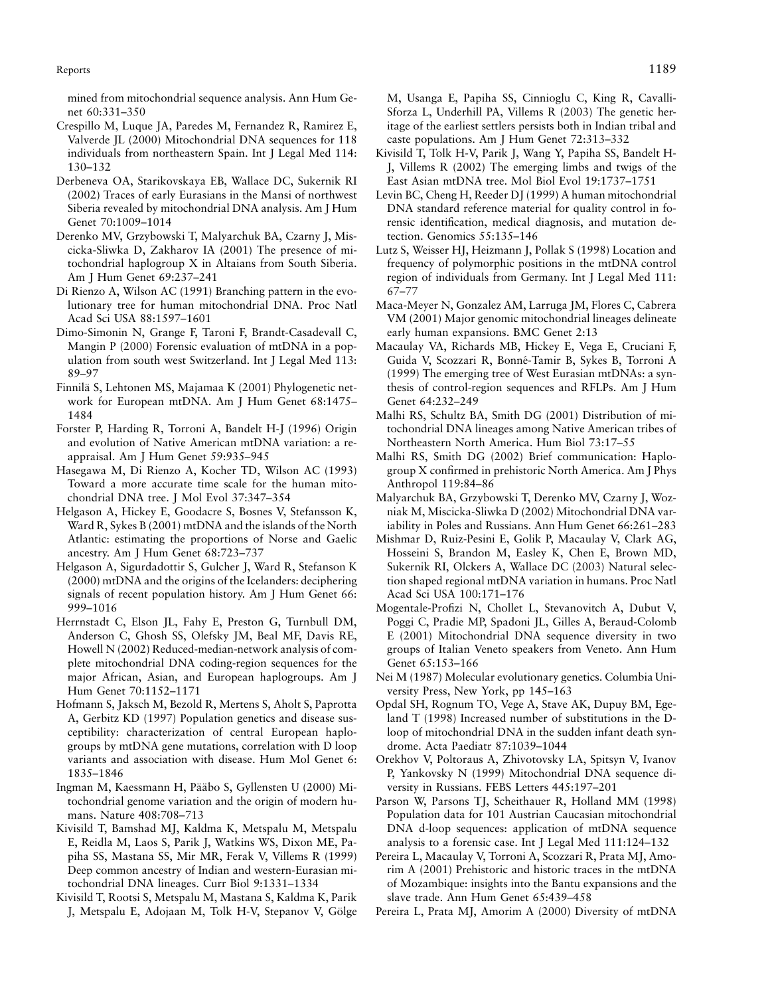Reports the contract of the contract of the contract of the contract of the contract of the contract of the contract of the contract of the contract of the contract of the contract of the contract of the contract of the co

mined from mitochondrial sequence analysis. Ann Hum Genet 60:331–350

- Crespillo M, Luque JA, Paredes M, Fernandez R, Ramirez E, Valverde JL (2000) Mitochondrial DNA sequences for 118 individuals from northeastern Spain. Int J Legal Med 114: 130–132
- Derbeneva OA, Starikovskaya EB, Wallace DC, Sukernik RI (2002) Traces of early Eurasians in the Mansi of northwest Siberia revealed by mitochondrial DNA analysis. Am J Hum Genet 70:1009–1014
- Derenko MV, Grzybowski T, Malyarchuk BA, Czarny J, Miscicka-Sliwka D, Zakharov IA (2001) The presence of mitochondrial haplogroup X in Altaians from South Siberia. Am J Hum Genet 69:237–241
- Di Rienzo A, Wilson AC (1991) Branching pattern in the evolutionary tree for human mitochondrial DNA. Proc Natl Acad Sci USA 88:1597–1601
- Dimo-Simonin N, Grange F, Taroni F, Brandt-Casadevall C, Mangin P (2000) Forensic evaluation of mtDNA in a population from south west Switzerland. Int J Legal Med 113: 89–97
- Finnila¨ S, Lehtonen MS, Majamaa K (2001) Phylogenetic network for European mtDNA. Am J Hum Genet 68:1475– 1484
- Forster P, Harding R, Torroni A, Bandelt H-J (1996) Origin and evolution of Native American mtDNA variation: a reappraisal. Am J Hum Genet 59:935–945
- Hasegawa M, Di Rienzo A, Kocher TD, Wilson AC (1993) Toward a more accurate time scale for the human mitochondrial DNA tree. J Mol Evol 37:347–354
- Helgason A, Hickey E, Goodacre S, Bosnes V, Stefansson K, Ward R, Sykes B (2001) mtDNA and the islands of the North Atlantic: estimating the proportions of Norse and Gaelic ancestry. Am J Hum Genet 68:723–737
- Helgason A, Sigurdadottir S, Gulcher J, Ward R, Stefanson K (2000) mtDNA and the origins of the Icelanders: deciphering signals of recent population history. Am J Hum Genet 66: 999–1016
- Herrnstadt C, Elson JL, Fahy E, Preston G, Turnbull DM, Anderson C, Ghosh SS, Olefsky JM, Beal MF, Davis RE, Howell N (2002) Reduced-median-network analysis of complete mitochondrial DNA coding-region sequences for the major African, Asian, and European haplogroups. Am J Hum Genet 70:1152–1171
- Hofmann S, Jaksch M, Bezold R, Mertens S, Aholt S, Paprotta A, Gerbitz KD (1997) Population genetics and disease susceptibility: characterization of central European haplogroups by mtDNA gene mutations, correlation with D loop variants and association with disease. Hum Mol Genet 6: 1835–1846
- Ingman M, Kaessmann H, Pääbo S, Gyllensten U (2000) Mitochondrial genome variation and the origin of modern humans. Nature 408:708–713
- Kivisild T, Bamshad MJ, Kaldma K, Metspalu M, Metspalu E, Reidla M, Laos S, Parik J, Watkins WS, Dixon ME, Papiha SS, Mastana SS, Mir MR, Ferak V, Villems R (1999) Deep common ancestry of Indian and western-Eurasian mitochondrial DNA lineages. Curr Biol 9:1331–1334
- Kivisild T, Rootsi S, Metspalu M, Mastana S, Kaldma K, Parik J, Metspalu E, Adojaan M, Tolk H-V, Stepanov V, Gölge

M, Usanga E, Papiha SS, Cinnioglu C, King R, Cavalli-Sforza L, Underhill PA, Villems R (2003) The genetic heritage of the earliest settlers persists both in Indian tribal and caste populations. Am J Hum Genet 72:313–332

- Kivisild T, Tolk H-V, Parik J, Wang Y, Papiha SS, Bandelt H-J, Villems R (2002) The emerging limbs and twigs of the East Asian mtDNA tree. Mol Biol Evol 19:1737–1751
- Levin BC, Cheng H, Reeder DJ (1999) A human mitochondrial DNA standard reference material for quality control in forensic identification, medical diagnosis, and mutation detection. Genomics 55:135–146
- Lutz S, Weisser HJ, Heizmann J, Pollak S (1998) Location and frequency of polymorphic positions in the mtDNA control region of individuals from Germany. Int J Legal Med 111: 67–77
- Maca-Meyer N, Gonzalez AM, Larruga JM, Flores C, Cabrera VM (2001) Major genomic mitochondrial lineages delineate early human expansions. BMC Genet 2:13
- Macaulay VA, Richards MB, Hickey E, Vega E, Cruciani F, Guida V, Scozzari R, Bonné-Tamir B, Sykes B, Torroni A (1999) The emerging tree of West Eurasian mtDNAs: a synthesis of control-region sequences and RFLPs. Am J Hum Genet 64:232–249
- Malhi RS, Schultz BA, Smith DG (2001) Distribution of mitochondrial DNA lineages among Native American tribes of Northeastern North America. Hum Biol 73:17–55
- Malhi RS, Smith DG (2002) Brief communication: Haplogroup X confirmed in prehistoric North America. Am J Phys Anthropol 119:84–86
- Malyarchuk BA, Grzybowski T, Derenko MV, Czarny J, Wozniak M, Miscicka-Sliwka D (2002) Mitochondrial DNA variability in Poles and Russians. Ann Hum Genet 66:261–283
- Mishmar D, Ruiz-Pesini E, Golik P, Macaulay V, Clark AG, Hosseini S, Brandon M, Easley K, Chen E, Brown MD, Sukernik RI, Olckers A, Wallace DC (2003) Natural selection shaped regional mtDNA variation in humans. Proc Natl Acad Sci USA 100:171–176
- Mogentale-Profizi N, Chollet L, Stevanovitch A, Dubut V, Poggi C, Pradie MP, Spadoni JL, Gilles A, Beraud-Colomb E (2001) Mitochondrial DNA sequence diversity in two groups of Italian Veneto speakers from Veneto. Ann Hum Genet 65:153–166
- Nei M (1987) Molecular evolutionary genetics. Columbia University Press, New York, pp 145–163
- Opdal SH, Rognum TO, Vege A, Stave AK, Dupuy BM, Egeland T (1998) Increased number of substitutions in the Dloop of mitochondrial DNA in the sudden infant death syndrome. Acta Paediatr 87:1039–1044
- Orekhov V, Poltoraus A, Zhivotovsky LA, Spitsyn V, Ivanov P, Yankovsky N (1999) Mitochondrial DNA sequence diversity in Russians. FEBS Letters 445:197–201
- Parson W, Parsons TJ, Scheithauer R, Holland MM (1998) Population data for 101 Austrian Caucasian mitochondrial DNA d-loop sequences: application of mtDNA sequence analysis to a forensic case. Int J Legal Med 111:124–132
- Pereira L, Macaulay V, Torroni A, Scozzari R, Prata MJ, Amorim A (2001) Prehistoric and historic traces in the mtDNA of Mozambique: insights into the Bantu expansions and the slave trade. Ann Hum Genet 65:439–458
- Pereira L, Prata MJ, Amorim A (2000) Diversity of mtDNA